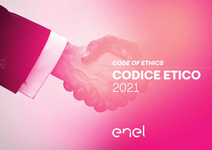# CODE OF ETHICS CODICE ETICO 2021



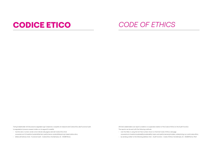Tutti gli stakeholder di Enel possono segnalare ogni violazione o sospetto di violazione del Codice Etico alla Funzione Audit. Le segnalazioni possono essere inviate con le seguenti modalità:

- tramite web o numero verde come indicato alla pagina web del Codice Etico Enel www.enel.com/it/investitori/sostenibilita/temi-performance-sostenibilita/principi-base/codice-etico.
- lettera all'indirizzo: Enel Funzione Audit Codice Etico Via Dalmazia, 15 00198 Roma

All Enel's stakeholders can report a violation or suspected violation of the Code of Ethics to the Audit Function. The reports can be sent with the following methods:

- over the Web or using the toll-free number shown on the Enel Code of Ethics web page www.enel.com/investors/sustainability/sustainability-topics-and-performances/principles-underpinning-our-work/code-ethics.
- by sending a letter to the following address: Enel Audit Function Code of Ethics Via Dalmazia, 15 00198 Rome, ITALY

## CODICE ETICO *CODE OF ETHICS*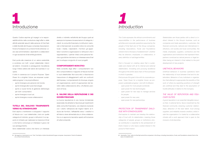# 1 Introduzione

## *1 Introduction*

Questo Codice esprime gli impegni e le responsabilità etiche nella conduzione degli affari e delle attività aziendali assunti dalle persone di Enel SpA e delle Società del Gruppo comprese Associazioni, Fondi e Fondazioni di cui Enel è Fonte istitutiva<sup>1</sup>, siano essi amministratori, dipendenti e collaboratori in ogni accezione di tali entità giuridiche.

Enel punta alla creazione di un valore sostenibile e condiviso con tutti i propri stakeholder, interni ed esterni, innovando e perseguendo l'eccellenza lungo l'intera catena del valore dei business in cui opera.

Il tutto in coerenza con il proprio *Purpose: "Open Power for a brighter future: we empower sustainable progress"* e la propria *Mission*:

- aprire l'energia a più persone nel mondo;
- aprire l'energia alle nuove tecnologie;
- aprire a nuove forme di gestione dell'energia per tutti i consumatori;
- aprire l'energia a nuovi usi;
- aprire l'energia a nuove collaborazioni;

## TUTELA DEL DIALOGO TRASPARENTE VERSO GLI STAKEHOLDER

Enel aspira a mantenere e sviluppare il rapporto di fiducia con i suoi stakeholder, cioè con quelle categorie di individui, gruppi o istituzioni il cui apporto è richiesto per realizzare la missione di Enel o che hanno comunque un interesse in gioco nel suo perseguimento.

Sono stakeholder coloro che hanno un interesse

diretto o indiretto nell'attività del Gruppo quali ad esempio le imprese e le associazioni di categoria, i clienti, la comunità finanziaria, le istituzioni nazionali e internazionali, la società civile e le comunità locali, i media, i dipendenti, i fornitori, gli appaltatori nonché le organizzazioni e Istituzioni che li rappresentano, i partner intesi come persone fisiche o giuridiche che hanno un interesse verso Enel per lo sviluppo congiunto di nuovi progetti.

### COMPORTAMENTI NON ETICI

Nella condotta degli affari i comportamenti non etici compromettono il rapporto di fiducia tra Enel e i suoi stakeholder. Non sono etici, e favoriscono l'assunzione di atteggiamenti ostili nei confronti dell'impresa, i comportamenti di chiunque, singolo od organizzazione, cerchi di appropriarsi dei benefici della collaborazione altrui, sfruttando posizioni di forza.

## IL VALORE DELLA REPUTAZIONE E DEI DOVERI FIDUCIARI

La buona reputazione è una risorsa immateriale essenziale che all'esterno favorisce gli investimenti della comunità finanziaria, una relazione durevole con i clienti, l'attrazione dei migliori talenti, la fiducia dei fornitori, l'affidabilità verso i creditori e all'interno viene alimentata da un clima collaborativo e un approccio lavorativo aperto all'inclusione di tutte le diversità.

*This Code expresses the ethical commitments and responsibilities in the performance of business activities and corporate operations assumed by the people of Enel SpA and of the Group companies, including Associations, Funds and Foundations Enel is the basis of establishment<sup>1</sup>, whether they be directors, employees, or collaborators, in every definition of said legal entities.*

*Enel is focused on creating value that is sustainable and shared with all its internal and external stakeholders, innovating and pursuing excellence throughout the entire value chain of the businesses in which it operates.* 

*Enel pursues this goal in line with its corporate purpose: "Open Power for a brighter future: we empower sustainable progress," and with its Mission:* 

- *• open power for more people worldwide;*
- *• open power for new technologies;*
- *• open power for new ways to manage services for people;*
- *• open power for new uses;*
- *• open power for new partnerships;*

## *PROTECTION OF TRANSPARENT DIALO-GUE WITH STAKEHOLDERS*

*Enel aspires to maintain and develop the relationship of trust with its stakeholders, meaning those categories of people, groups or institutions whose contribution is essential to the achievement of Enel's mission or who have a vested interest in the pursuit of that mission.*

*Stakeholders are those parties with a direct or indirect interest in the Group's business, such as companies and trade associations, customers, the financial community, national and international institutions, civil society and local communities, the media, employees, suppliers, contractors and the organizations and institutions that represent them, partners construed as natural persons or legal entities having an interest in Enel related to the joint development of new projects.*

#### *UNETHICAL BEHAVIORS*

*Unethical behaviors in business operations harm the relationship of trust between Enel and its stakeholders. Behaviors of any individual or organization that attempt to appropriate the benefits of the work of others by exploiting positions of strength are unethical and they lead to the assumption of hostile attitudes in relation to the Company.*

## *THE VALUE OF REPUTATION AND FIDU-CIARY DUTIES*

*A good reputation is an essential intangible resource that, in external terms, favors investment by the financial community, enduring customer relationships, attraction of the best talent, trust among suppliers, and reliability towards creditors, while inside the organization it is fueled by a collaborative climate with a work approach that is open to the inclusion of all diversities.*

<sup>1</sup> Nel seguito si indicheranno con "Enel", Enel SpA e tutte le Società del Gruppo comprese Associazioni, Fondi e Fondazioni di cui Enel è Fonte Istitutiva

*<sup>1</sup> Hereinafter "Enel" refers to Enel SpA and all the companies in the Group, including Associations, Funds, and Foundations wherein Enel is the basis of establishment.*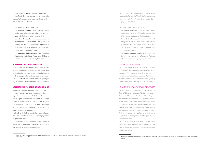Il Codice Etico chiarisce i particolari doveri di Enel nei confronti degli stakeholder (doveri fiduciari) e la sua effettiva osservanza è essenziale per assicurare la reputazione di Enel.

Il Codice Etico è pertanto costituito:

- dai **princìpi generali2** sulle relazioni con gli stakeholder, che definiscono in modo astratto i valori di riferimento nelle attività di Enel;
- dai **criteri di condotta** verso ciascuna classe di stakeholder, che forniscono nello specifico le linee guida e le norme alle quali le persone di Enel sono tenute ad attenersi per prevenire il rischio di comportamenti non etici;
- dai **meccanismi di attuazione**, che descrivono il sistema di controllo per l'osservanza del Codice Etico e per il suo continuo miglioramento.

#### IL VALORE DELLA RECIPROCITÀ

Questo Codice è improntato a un ideale di cooperazione in vista di un reciproco vantaggio delle parti coinvolte, nel rispetto del ruolo di ciascuno. Enel richiede perciò che ciascuno stakeholder agisca nei confronti dell'Azienda secondo princípi e regole ispirate a un'analoga idea di condotta etica.

#### VALIDITÀ E APPLICAZIONE DEL CODICE

I princìpi e le disposizioni del presente Codice Etico hanno come destinatari i componenti del Consiglio di Amministrazione, del Collegio Sindacale e di altri organi di controllo e di vigilanza di Enel SpA e delle altre Società del Gruppo, nonché i dirigenti, i dipendenti e i collaboratori legati al Gruppo da rapporti contrattuali a qualsiasi titolo, anche occasionali e/o soltanto temporanei.

Inoltre, Enel richiede ai fornitori e partner di adottare una condotta in linea con i princípi generali del presente Codice.

Il Codice Etico ha validità in tutti i Paesi in cui Enel opera, pur in considerazione della diversità culturale, sociale ed economica degli stessi.

*The Code of Ethics sets out Enel's special duties in relation to its stakeholders (fiduciary duties) and must be complied with in order to secure the Company's good reputation.*

#### *The Code of Ethics therefore consists of:*

- *• the general principles2 governing relations with stakeholders, which provide an abstract definition of the reference values in Enel's activities;*
- *• the criteria of conduct in relations with each category of stakeholders, which set out the guidelines and standards with which Enel people must comply in order to remove risks of unethical conduct;*
- *• the implementation mechanisms, describing the control system for compliance with the Code of Ethics and for its ongoing improvement.*

#### *THE VALUE OF RECIPROCITY*

*This Code is built around a concept of cooperation to the mutual benefit of the parties involved, in accordance with the role of each. Enel therefore requires that each stakeholder deal with the Company in accordance with principles and rules inspired by a comparable understanding of ethical conduct.*

#### *VALIDITY AND APPLICATION OF THE CODE*

*The principles and provisions contained in this Code of Ethics are addressed to the members of the Board of Directors, the Board of Statutory Auditors and the other control and supervisory bodies of Enel SpA and the other Group companies, as well as managers, employees and collaborators connected to the Group by contractual relationships of any type, also occasional and/or solely temporary. Enel also expects its suppliers and partners to adopt conduct in compliance with the general principles of this Code.*

*The Code of Ethics is applicable in all the countries in which Enel operates, with due regard for the cultural, social and economic diversities from one country to another.*

<sup>2</sup> I principi generali si ispirano alla Dichiarazione universale dei diritti umani delle Nazioni Unite del 1948 e alla Convenzione Europea sui Diritti dell'Uomo del 1950

*<sup>2</sup> The general principles are inspired by the UN Universal Declaration of Human Rights of 1948, and the European convention on Human Rights of 1950.*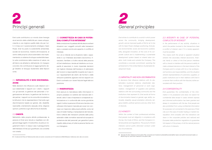# **2** Princìpi generali

## *2 General principles*

Enel vuole contribuire a un mondo dove l'energia sia al servizio della collettività per creare sviluppo, crescita e una migliore qualità della vita per tutti. In linea con il posizionamento strategico Open Power, Enel ha posto la sostenibilità ambientale, sociale ed economica, insieme all'innovazione, al centro della propria cultura aziendale e sta implementando un sistema di sviluppo sostenibile basato sulla condivisione della creazione di valore, sia all'interno sia all'esterno dell'azienda. Un impegno concreto che contribuisce al raggiungimento degli Obiettivi di Sviluppo Sostenibile delle Nazioni Unite.

## 2.1 IMPARZIALITÀ E NON DISCRIMINA-ZIONE

Nelle decisioni che influiscono sulle relazioni con i suoi stakeholder (i rapporti con i clienti, i rapporti con gli azionisti, la gestione del personale o l'organizzazione del lavoro, la gestione dei fornitori e dei partner, i rapporti con la comunità circostante e le Istituzioni che la rappresentano), Enel evita ogni discriminazione basata sul genere, età, disabilità, nazionalità, orientamento sessuale, etnia, religione opinioni, politiche e ogni altra forma di diversità.

#### 2.2 ONESTÀ

Nell'ambito della propria attività professionale, le persone di Enel sono tenute a rispettare con diligenza le leggi vigenti, il Codice Etico, le policy e i regolamenti interni. In nessun caso il perseguimento dell'interesse di Enel può giustificare una condotta non onesta.

3 Si veda anche Piano di Tolleranza Zero alla corruzione: www.enel.com/it/investors1/a/2016/08/piano-tolleranza-zero-alla-corruzione.

## 2.3 CORRETTEZZA IN CASO DI POTEN-ZIALI CONFLITTI DI INTERESSE3

Nella conduzione di qualsiasi attività devono evitarsi situazioni ove i soggetti coinvolti nelle transazioni siano, o possano anche solo apparire, in conflitto di interesse.

Con ciò si intende sia la situazione reale o apparente in cui l'interesse secondario (economico, finanziario, familiare o di altra natura) della persona di Enel interferisce o tende ad interferire con la capacità di assumere in modo imparziale decisioni nel migliore interesse dell'impresa e di adempiere alle funzioni e responsabilità ricoperte sia il caso in cui i rappresentanti dei clienti, dei fornitori o delle istituzioni pubbliche, agiscano nei loro rapporti con Enel in contrasto con i doveri fiduciari legati alla loro posizione.

#### 2.4 RISERVATEZZA

Enel assicura la riservatezza delle informazioni in proprio possesso e si astiene dal ricercare dati riservati, salvo il caso di espressa e consapevole autorizzazione e in conformità alle norme giuridiche vigenti. Inoltre, le persone di Enel sono tenute a non utilizzare informazioni riservate per scopi non connessi con l'esercizio della propria attività, come nel caso di insider trading o manipolazione del mercato. Enel si attiene alle indicazioni previste dalle policy aziendali e dalle normative nazionali ed europee di protezione dei dati personali, per garantire il pieno rispetto della privacy di tutte le persone fisiche con cui interagisce.

*Enel strives to contribute to a world in which power serves the community, bringing development, growth, and an improved quality of life for all. In line with its Open Power strategic positioning, Enel places environmental, social, and economic sustainability, alongside innovation, at the core of its corporate culture and is implementing a sustainable development system based on shared value creation, both inside and outside the Company. This constitutes a concrete commitment, assisting the achievement of the United Nations Sustainable Development Goals.*

#### *2.1 IMPARTIALITY AND NON-DISCRIMINATION*

*In decisions that influence relations with its stakeholders (customer relations, shareholder relations, management of personnel or work organization, management of suppliers and partners, relations with the surrounding community and the Institutions that represent it), Enel avoids all forms of discrimination based on gender, age, ability, nationality, disability, sexual orientation, ethnicity, religious beliefs, political opinions and any other form of diversity.*

#### *2.2 HONESTY*

*Within the context of their professional activities, Enel people must act diligently in compliance with the law, the Code of Ethics, and the Company's internal policies and regulations. The pursuit of Enel's interests cannot justify dishonest conduct under any circumstances.*

## *2.3 INTEGRITY IN CASE OF POTENTIAL CONFLICTS OF INTEREST3*

*In the performance of any activity, situations in which the parties involved in the transactions have a conflict of interest, even if it is merely apparent, must be avoided.*

*This means both the actual or apparent situation wherein the secondary interest (economic, financial, family or other) of the Enel person interferes with or tends to interfere with the person's ability to make unbiased decisions in the best interest of the Company and to comply with his or her professional functions and responsibilities, and the situation wherein representatives of customers, suppliers, or public institutions act in their relations with Enel in a manner that conflicts with the fiduciary duties associated with their position.*

### *2.4 CONFIDENTIALITY*

*Enel guarantees the confidentiality of the information in its possession and does not search for confidential data except in cases wherein express and informed authorization has been granted and always in compliance with the law. Enel people are also prohibited from using confidential information for purposes not connected to the exercise of their role, as in the case of insider trading or market manipulation. Enel complies with the indications set down in the corporate policies and national and European data protection regulations to guarantee full respect of the privacy of all the natural persons with whom it interacts.*

derpinning-our-work/zero-tolerance-corruption-plan.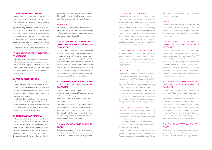#### 2.5 RELAZIONI CON GLI AZIONISTI

Enel ritiene conforme a un proprio specifico interesse – oltre che a un dovere nei confronti del mercato – assicurare un rapporto costante e aperto, fondato sulla comprensione reciproca dei ruoli, con la generalità degli azionisti nonché con gli investitori istituzionali, al fine di accrescere il relativo livello di comprensione circa le attività svolte dalla Società e dal Gruppo. In tale contesto, Enel intrattiene con gli investitori un dialogo basato sui principi di correttezza e trasparenza, nel rispetto della disciplina comunitaria e nazionale in tema di abusi di mercato, nonché in linea con le best practice internazionali.

## 2.6 VALORIZZAZIONE DELL'INVESTIMEN-TO AZIONARIO

Enel si adopera affinché le performance economico-finanziarie siano tali da salvaguardare e accrescere il valore dell'impresa, al fine di remunerare adeguatamente il rischio che gli azionisti assumono con l'investimento dei propri capitali in un'ottica di lungo periodo.

#### 2.7 VALORE DELLE PERSONE

Enel mette al centro le sue persone come fattore abilitante per prosperare in un mondo in continua trasformazione. Per questo motivo, Enel tutela e accresce il valore delle persone che lavorano in azienda promuovendo l'apprendimento continuo e lo sviluppo professionale.

In particolare, Enel garantisce che le proprie azioni non siano lesive della dignità e autonomia delle persone, e che le scelte di organizzazione del lavoro salvaguardino il valore dei singoli nonché la conciliazione tra vita lavorativa e vita privata

## 2.11 DILIGENZA E ACCURATEZZA NEL-LE ATTIVITÀ E NELL'ESECUZIONE DEI **CONTRATTI**

#### 2.8 INTEGRITÀ DELLA PERSONA

## 2.12 QUALITÀ DEI SERVIZI E DEI PRO-**DOTTI**

Enel garantisce l'integrità fisica e morale delle sue persone, condizioni di lavoro rispettose della dignità personale e delle specificità individuali, e ambienti di lavoro sicuri e salubri. Inoltre agisce affinché nell'ambiente di lavoro non si verifichino episodi di molestie, intimidazione, mobbing o stalking. Non sono tollerate richieste o minacce volte a indurre le persone ad agire contro la legge, il Codice Etico o policy interne, o ad adottare comportamenti lesivi delle convinzioni e preferenze individuali.

#### 2.9 EQUITÀ

Nella sottoscrizione e gestione dei rapporti contrattuali che implicano l'instaurarsi di relazioni lavorative Enel si impegna a garantire equità e correttezza evitando ogni abuso di autorità.

## 2.10 TRASPARENZA, COMPLETEZZA, CORRETTEZZA E VERIDICITÀ DELL'IN-FORMAZIONE

Le persone di Enel sono tenute a dare informazioni complete, trasparenti, comprensibili e accurate, in modo tale che, nell'impostare i rapporti con il Gruppo, gli stakeholder siano in grado di prendere decisioni autonome e consapevoli degli interessi coinvolti, delle alternative e delle conseguenze rilevanti. In particolare, nella formulazione di eventuali contratti, Enel ha cura di specificare al contraente i comportamenti da tenere in tutte le circostanze previste, in modo chiaro e comprensibile.

I contratti e gli incarichi di lavoro devono essere eseguiti secondo quanto stabilito consapevolmente dalle parti. Enel si impegna a non sfruttare condizioni di ignoranza o di incapacità delle proprie controparti.

È da evitare che, nei rapporti in essere, chiunque operi in nome e per conto di Enel cerchi di approfittare di lacune contrattuali, o di eventi imprevisti, per rinegoziare il contratto al solo scopo di sfruttare la posizione di dipendenza o di debolezza nelle quali l'interlocutore si sia venuto a trovare.

Enel orienta la propria attività alla soddisfazione e alla tutela dei propri clienti dando ascolto alle richieste che possono favorire un miglioramento

#### *2.5 SHAREHOLDER RELATIONS*

*Enel considers it has a specific interest – apart from a duty towards the market – in guaranteeing an ongoing and open relationship with the general body of its shareholders and its institutional investors in order to raise their level of understanding of the operations carried out by the Company and the Group. In this context, Enel maintains a dialogue with investors based on principles of fairness and transparency, in compliance with EU and national regulations concerning market abuse and also in line with international best practices.*

### *2.6 SAFEGUARDING SHAREHOLDER VALUE*

*To provide adequate remuneration for the risk assumed by stakeholders in investing their own capital, Enel strives to ensure that its economic-financial performance is such as to protect and build its enterprise value.*

#### *2.7 THE VALUE OF PEOPLE*

*Enel places its people at the center of its operations as an enabling factor to prosper in a constantly changing world. This is the reason for Enel's insistence on protecting and enhancing the value of the people working in the organization, promoting continuous learning and career development. In particular, Enel guarantees that its actions are not detrimental to personal dignity and autonomy, and that its work organization decisions are designed to safeguard the value of each individual and reconcile the requirements of professional and personal life.*

#### *2.8 INTEGRITY OF THE INDIVIDUAL*

*Enel guarantees the physical and moral integrity of its people, working conditions that are respectful of personal dignity and personal freedoms, and safe and healthy workplaces.*

*The Company also applies a policy of zero tolerance for any form of harassment, intimidation, mobbing, or stalking in the workplace.* 

*Requests or threats aimed at inducing people to act in conflict with the law, the Code of Ethics, or the internal policies, or to adopt behaviors that are*  *detrimental to personal convictions and preferences, are not tolerated.*

### *2.9 EQUITY*

*In entering into and managing contractual relationships that result in the establishment of work relationships, Enel is committed to applying principles of equity and fairness and avoiding all forms of abuse of authority.*

## *2.10 TRANSPARENCY, COMPLETENESS, CORRECTNESS AND TRUTHFULNESS OF INFORMATION*

*Enel people are required to provide complete, transparent, comprehensible and accurate information, allowing stakeholders to make independent decisions in the light of the interests at play, the alternatives, and any relevant consequences, when establishing relationships with the Group. In particular, in drawing up contracts Enel issues its contractual counterparts with clear and easily understandable instructions concerning the conduct to be followed in all applicable circumstances.*

## *2.11 DILIGENCE AND PRECISION IN OPE-RATIONS AND IN THE PERFORMANCE OF CONTACTS*

*Contracts and work assignments must be carried out in accordance with the matters openly agreed to between the parties. Enel is committed to not exploiting any conditions of lack of information or incapacity to act affecting its counterparts.*

*Within the terms of any work relationship, situations wherein a party acting in the name of or on behalf of Enel attempts to take advantage of contractual errors or unforeseen events to renegotiate the contract solely to exploit the counterpart's position of dependency or weakness, must be avoided.*

## *2.12 QUALITY OF SERVICES AND PRO-DUCTS*

*Enel orients its activity towards satisfying and safeguarding its customers, listening to requests that could lead to improvements in the quality of pro-*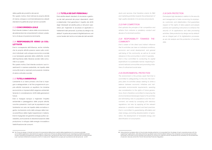della qualità dei prodotti e dei servizi. Per questo motivo, Enel indirizza le proprie attività di ricerca, sviluppo e commercializzazione a elevati standard di qualità dei propri servizi e prodotti.

#### 2.13 CONCORRENZA LEALE

Enel intende tutelare il valore della concorrenza leale astenendosi da comportamenti collusivi, predatori e di abuso di posizione dominante.

## 2.14 RESPONSABILITÀ VERSO LA COL-LETTIVITÀ

Enel è consapevole dell'influenza, anche indiretta, che le proprie attività possono avere sulle condizioni individuali, sullo sviluppo economico e sociale e sul benessere generale della collettività, nonché dell'importanza della rilevanza sociale nelle comunità in cui opera.

Per questo motivo, Enel intende condurre i suoi investimenti in maniera sostenibile, nel rispetto delle comunità locali e nazionali promuovendo iniziative di valore culturale e sociale.

#### 2.15 TUTELA AMBIENTALE

L'ambiente è un bene primario che Enel si impegna a salvaguardare; a tal fine programma le proprie attività ricercando un equilibrio tra iniziative economiche e imprescindibili esigenze ambientali, tenendo in considerazione i diritti delle generazioni future.

Enel si impegna dunque a migliorare l'impatto ambientale e paesaggistico delle proprie attività, nonché a prevenire i rischi per le popolazioni e per l'ambiente non solo nel rispetto della normativa vigente, ma tenendo conto dello sviluppo della ricerca scientifica e delle migliori esperienze in materia. Enel è impegnata nel garantire energia pulita e accessibile, promuovendo la decarbonizzazione della produzione, lo sviluppo delle energie rinnovabile e l'elettrificazione dei consumi.

#### 2.16 TUTELA DEI DATI PERSONALI

Enel adotta elevati standard di sicurezza e gestione dei dati personali dei propri dipendenti, clienti e stakeholder. Enel garantisce il rispetto dei diritti degli interessati ed adotta policy e istruzioni operative per migliorare la sicurezza di applicativi e trattamenti dati personali. *La privacy by design e by default 4* è parte dei processi di digitalizzazione, così come l'analisi del rischio e la tutela dei dati sensibili.

*ducts and services. Enel therefore orients its R&D and marketing activities towards the achievement of high-quality standards in its services and products.*

#### *2.13 FAIR COMPETITION*

*Enel upholds the principle of fair competition and refrains from collusive or predatory conduct and abuses of a dominant position.*

## *2.14 RESPONSIBILITY TOWARDS THE-COMMUNITY*

*Enel is aware of the direct and indirect influence that its activities can have on individual conditions, economic and social development, and general well-being of the community, as well as its social relevance in the communities in which it operates. Enel is thus committed to conducting its capital expenditure in a sustainable manner, respecting local and national communities and promoting initiatives of cultural and social value.*

#### *2.15 ENVIRONMENTAL PROTECTION*

*The environment is the primary asset that Enel is committed to safeguarding; to this end, the Company plans its activities always seeking to strike a balance between economic initiatives and indispensable environmental requirements, awarding due consideration to the rights of future generations. Enel is therefore committed to improving the environmental and landscape impact of its activities and eliminating risks to populations and the environment, not merely by complying with statutory regulations, but also by applying all the relevant advances in scientific research and best practices. Enel is committed to guaranteeing affordable and clean energy, promoting decarbonization of generation, the development of renewable energy, and electrification of consumption.*

#### *2.16 DATA PROTECTION*

*Enel adopts high standards in relation to the security and management of data concerning its employees, customers, and stakeholders. Enel guarantees respect of the rights of data subjects and adopts policies and operating instructions to enhance the security of its applications and data processing activities. Data protection by design and by default4 are an integral part of its digitalization processes, as are risk analysis and the protection of sensitive data.*

<sup>4</sup> Per Privacy by design si intende il principio di incorporazione della privacy a partire dalla progettazione di un processo aziendale con le relative applicazioni informatiche di supporto, mentre per la Privacy by default (protezione per impostazione predefinita) prevede che per impostazione predefinita le imprese devono trattare solo i dati personali nella misura necessaria e sufficiente per le finalità previste e per il periodo strettamente necessario a tali fini. Si veda anche "Regolamento europeo per la protezione dei dati personali - art.25".

<sup>4</sup> Data protection by design refers to the principle whereby protection is incorporated from the design of each corporate process with the supporting IT applications, while data protection by default means that the default setting is that companies must process personal data exclusively to the extent strictly necessary and sufficient for the aims of collection and for the period strictly necessary for the achievement of said aims. See also article 25 of the EU General Data Protection Regulation.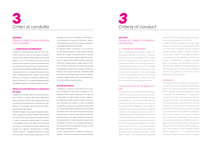



#### SEZIONE I.

CRITERI DI CONDOTTA NELLE RELAZIONI CON GLI AZIONISTI

#### 3.1 CORPORATE GOVERNANCE

Il sistema di corporate governance di Enel è conforme ai princípi contenuti nel Codice di Corporate Governance delle società quotate cui la Società aderisce, ed è inoltre ispirato alle *best practice* internazionali. Il sistema di governo societario adottato da parte di Enel e del Gruppo risulta essenzialmente orientato all'obiettivo della creazione di valore per gli azionisti in un orizzonte di lungo termine, nella consapevolezza della rilevanza sociale delle attività in cui il Gruppo è impegnato e della conseguente necessità di considerare adeguatamente, nel relativo svolgimento, tutti gli interessi coinvolti.

## Sistema di controllo interno e di gestione dei rischi

Il Sistema di Controllo Interno e di Gestione dei Rischi ("SCIGR") è costituito dall'insieme delle regole, delle procedure e delle strutture organizzative volte a consentire l'identificazione, la misurazione, la gestione e il monitoraggio dei principali rischi aziendali nell'ambito del Gruppo.

Il SCIGR è integrato nei più generali assetti organizzativi e di governo societario adottati dalla Società e dal Gruppo ed è ispirato alle best practice esistenti in ambito nazionale e internazionale. In particolare, tale sistema tiene conto delle raccomandazioni del Codice di *Corporate Governance* delle Società quotate ed è definito coerentemente al modello *"Internal Controls – Integrated Framework"* emesso dal *Committee of Sponsoring Organizations of the* 

*Treadway Commission* (cosiddetto "COSO Report"), che rappresenta il modello di riferimento, internazionalmente riconosciuto, per l'analisi e la valutazione integrata dell'efficacia del SCIGR.

Un efficace SCIGR contribuisce a una conduzione dell'impresa coerente con gli obiettivi aziendali definiti dal consiglio di amministrazione, in quanto consente di individuare, valutare, gestire e monitorare i principali rischi in relazione alla loro capacità di influenzare il raggiungimento degli obiettivi medesimi. Il SCIGR, in particolare, concorre ad assicurare la salvaguardia del patrimonio sociale, l'efficienza e l'efficacia dei processi aziendali, l'affidabilità delle informazioni fornite agli organi sociali e al mercato, il rispetto di leggi e regolamenti nonché dello statuto sociale e delle procedure interne.

#### Società di revisione

L'affidamento da parte di Enel dell'incarico di revisione del Bilancio di esercizio e del Bilancio Consolidato avviene in piena trasparenza e nel rigoroso rispetto della normativa vigente. Al fine di preservare l'indipendenza delle società di revisione che operano nell'ambito del Gruppo, è stata formalizzata un'apposita procedura che disciplina l'affidamento di incarichi alle Società medesime ovvero alle entità dei relativi network da parte di Società del Gruppo. Tale procedura, fin dal momento della sua adozione, avvenuta all'epoca su base meramente volontaria, ha rappresentato un valido presidio di governance nell'attività di verifica e monitoraggio dell'indipendenza del revisore principale del Gruppo da parte del collegio sindacale di Enel.

In base a tale procedura il medesimo collegio sindacale è chiamato ad approvare preventivamente

#### *SECTION I.*

*CRITERIA OF CONDUCT IN SHAREHOL-DER RELATIONS*

#### *3.1 CORPORATE GOVERNANCE*

*Enel's corporate governance system complies with the principles set down in the Code of Corporate Governance for Listed Companies, which is applied within the Company, and is also inspired by international best practices. The corporate governance system adopted by Enel and the Group is basically oriented towards the goal of creating value for shareholders over the long term, in the understanding of the social significance of the Group's activities and the consequent need to conduct them with due consideration for all the interests involved.*

## *Internal control and risk management system*

*The Internal Control and Risk Management System ("SCIGR") is composed of the set of rules, procedures, and organizational structures designed to allow the identification, measurement, management, and monitoring of the main corporate risks within the Group.The SCIGR is integrated in the broader organizational and corporate governance strategies adopted by the Company and the Group and it is inspired by national and international best practices in the field. Notably, the system takes account of the prescriptions of the Code of Corporate Governance for Listed Companies and is defined in accordance with the "Internal Controls – Integrated Framework" model issued by the Committee of Sponsoring Organizations of the Treadway Commission ("COSO Report"), which is the internationally recognized*  *reference model for integrated analysis and assessment of the effectiveness of the SCIGR.*

*An effective SCIGR contributes to business management in line with the corporate objectives defined by the board of directors, because it makes it possible to identify, evaluate, manage, and monitor the main risks in relation to their ability to influence the achievement of the objectives in question. Specifically, the SCIGR helps to safeguard corporate assets, the efficiency and effectiveness of corporate processes, reliability of information supplied to the corporate boards and the market, compliance with laws and regulations, and with the company bylaws and internal procedures.*

#### *Auditing firm*

*Enel assigns the task of auditing the annual financial statements and consolidated financial statements in an open and transparent manner and in strict compliance with statutory legislation. In order to guarantee the independence of auditing firms working in the context of the Group, a specific procedure has been drawn up to regulate the award, by the Group companies, of assignments to the firms in question or to the entities in their networks. This procedure, from the time it was adopted (originally on a voluntary basis), has constituted a valid governance control measure in the activity of checking and monitoring the independence of the Group's main auditor by Enel's Board of Statutory Auditors. Based on the procedure in question, the Board of Statutory Auditors is called to provide advance ap-*

*proval of the award by Group companies of each additional assignment – i.e., an assignment other than legal auditing of the accounts and in relation*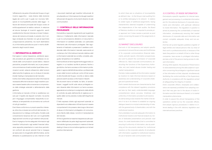l'affidamento da parte di Società del Gruppo di ogni incarico aggiuntivo - ossia diverso dalla revisione legale dei conti e per il quale non ricorrano fattispecie di incompatibilità previste dalla legge – in favore del revisore principale del Gruppo ovvero di entità appartenenti al relativo network. In relazione ad alcune tipologie di incarichi aggiuntivi, aventi caratteristiche ritenute inidonee a minare l'indipendenza del revisore principale, è previsto che il collegio sindacale sia chiamato non già ad esprimere un'approvazione preventiva, ma risulti destinatario di un'informativa periodica ex post in merito all'affidamento degli incarichi stessi.

#### 3.2 INFORMATIVA AL MERCATO

Enel agisce in piena trasparenza, adottando apposite procedure per garantire la correttezza e la veridicità delle comunicazioni sociali (bilanci, relazioni periodiche, prospetti informativi, ecc.) e per prevenire la commissione di reati societari (quali false comunicazioni sociali, ostacolo all'esercizio delle funzioni delle Autorità di vigilanza, ecc.) e di abusi di mercato (*insider trading* e manipolazione del mercato). Inoltre, Enel mette a disposizione tutta l'informazione

necessaria affinché le decisioni degli investitori possano essere basate sulla conoscenza e comprensione delle strategie aziendali e dell'andamento della gestione.

L'informativa al mercato di Enel si caratterizza non solo per il rispetto dei disposti normativi, ma anche per il linguaggio comprensibile, l'esaustività, la correttezza, la tempestività e la simmetria nei confronti di tutti gli investitori.

Enel ritiene conforme a un proprio specifico interesse, oltre che un dovere nei confronti del mercato, l'instaurazione di un dialogo continuativo, fondato sulla comprensione reciproca dei ruoli, con la generalità degli azionisti nonché con gli investitori istituzionali. Enel si impegna a fornire adeguate informazioni agli investitori istituzionali e agli analisti finanziari attraverso apposite presentazioni e road show periodici; nei confronti dei piccoli azionisti Enel si impegna ad assicurare (i) omogeneità dell'informativa, anche attraverso la pubblicazione sul sito internet di tutti

i documenti destinati agli investitori istituzionali; (ii) simultaneità con l'informazione fornita agli investitori istituzionali; (iii) apporto di strumenti dinamici di *web communication.*

## 3.3 CONTROLLO DELLE INFORMAZIONI PRIVILEGIATE

Enel adotta un apposito regolamento per la gestione interna e il trattamento delle informazioni riservate e per la comunicazione all'esterno di documenti e informazioni di carattere aziendale, con particolare riferimento alle informazioni privilegiate. Tale regolamento è finalizzato a preservare il carattere confidenziale delle informazioni riservate, assicurando al contempo che l'informativa al mercato relativa a dati e informazioni aziendali sia corretta, completa, adeguata, tempestiva e non selettiva.

Enel ha istituito (e tiene regolarmente aggiornato) un registro in cui risultano iscritte le persone, fisiche o giuridiche, che hanno accesso a informazioni privilegiate in ragione dell'attività lavorativa o professionale ovvero delle funzioni svolte per conto di Enel ovvero di altre Società del Gruppo, nonché un elenco delle persone aventi accesso a informazioni rilevanti.

Tali strumenti hanno la finalità, tra l'altro, di sensibilizzare i soggetti iscritti sulla natura privilegiata ovvero rilevante delle informazioni cui hanno accesso, agevolando al contempo lo svolgimento delle attività di controllo da parte dell'Autorità di vigilanza sul rispetto delle norme previste a tutela dell'integrità dei mercati.

È fatto espresso divieto agli esponenti aziendali, ai dipendenti e ai collaboratori di Enel di porre in essere comportamenti che possano dare luogo a fenomeni di abuso di informazioni privilegiate e di comunicazione illecita delle stesse, nonché di manipolazione del mercato.

Al fine di garantire la massima trasparenza sulle operazioni effettuate da parte degli esponenti aziendali, Enel adotta rigorose procedure in materia di internal dealing in linea con la normativa vigente e con le best practice internazionali.

*to which there are no situations of incompatibility as defined in law – to the Group's main auditing firm or to entitles belonging to its network. In relation to certain types of additional assignments, having characteristics deemed incapable of undermining the independence of the main auditor, the Board of Statutory Auditors is not required to provide prior approval, but it does receive a periodic ex post notice concerning the award of the assignments in question.* 

#### *3.2 MARKET DISCLOSURES*

*Enel acts in full transparency and adopts specific procedures to ensure the accuracy and truthfulness of its corporate communications (financial statements, periodic reports, information prospectuses, etc.) and to prevent the commission of corporate offences (i.e., false corporate communications, obstructing the functions of the Supervisory Authorities, etc.) and market abuses (insider trading and market manipulation).*

*Enel also makes available all the information needed by investors to make informed decisions based on awareness and understanding of corporate strategies and operational trends.*

*Enel's market disclosures are characterized by their compliance with the relevant regulatory provisions and also by their easily understandable language, comprehensive nature, accuracy, timeliness, and uniformity of information provided to all investors. As well as being a duty towards the market, Enel deems it to be in its interest to establish an ongoing dialogue, based on a mutual understanding of roles, with the general body of shareholders, and with the institutional investors.*

*Enel undertakes to provide adequate information to institutional investors and financial analysts by means of dedicated presentations and periodic road shows; for small shareholders Enel is committed to ensuring (i) uniformity of information, also by publishing all the documents destined for institutional investors on the corporate website; (ii) simultaneity with information supplied to institutional investors; (iii) use of dynamic web communication tools.*

#### *3.3 CONTROL OF INSIDE INFORMATION*

*Enel adopts a specific regulation for internal management and processing of confidential information and for the external disclosure of corporate documents and information, with particular reference to inside information. The regulation in question is aimed at preserving the confidentiality of reserved information, simultaneously ensuring that market disclosures of corporate data and information are correct, complete, adequate, timely, and non-selective.*

*Enel has set up (and regularly updates) a register of legal entities and natural persons that, by virtue of their work or professional activity or because of the tasks they perform on behalf of Enel or other Group companies, have access to privileged information, and also a list of the persons having access to relevant information.*

*Among other aspects, the purpose of these tools is to raise awareness among the data subjects in question concerning the privileged or significant nature of the information at their disposal, simultaneously facilitating the control activities of the Supervisory Authority in compliance with the regulations aimed at safeguarding the integrity of markets.*

*Enel's corporate officers, employees and collaborators are expressly prohibited from adopting conduct that may give rise to the abuse of inside information and illicit disclosure thereof, or to market manipulation phenomena.*

*In order to assure the utmost transparency of the operations carried out by the corporate officers, Enel adopts rigorous procedures in relation to internal dealing in line with statutory legislation and international best practices.*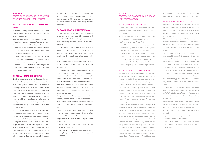#### SEZIONE II.

## CRITERI DI CONDOTTA NELLE RELAZIONI CON TUTTI GLI ALTRI INTERLOCUTORI

## 3.4 TRATTAMENTO DELLE INFORMA-ZIONI

Le informazioni degli stakeholder sono trattate da Enel nel pieno rispetto della riservatezza e della privacy degli interessati.

A tal fine sono applicate e costantemente aggiornate politiche e procedure specifiche per la protezione delle informazioni. In particolare, Enel:

- definisce un'organizzazione per il trattamento delle informazioni che assicuri la corretta separazione dei ruoli e delle responsabilità;
- classifica le informazioni per livelli di criticità crescenti e adotta opportune contromisure in ciascuna fase del trattamento;
- sottopone i soggetti terzi che intervengono nel trattamento delle informazioni alla sottoscrizione di patti di riservatezza.

#### 3.5 REGALI, OMAGGI E BENEFÍCI

Non è ammessa alcuna forma di regalo che possa anche solo essere interpretata come eccedente le normali pratiche commerciali o di cortesia o comunque rivolta ad acquisire trattamenti di favore nella conduzione di qualsiasi attività collegabile a Enel. In particolare, è vietata qualsiasi forma di regalo a funzionari pubblici italiani ed esteri, revisori, consiglieri di Enel, membri degli organi di controllo e di vigilanza, o a loro familiari, che possa influenzare l'indipendenza di giudizio o indurre ad assicurare un qualsiasi vantaggio.

Tale norma, che non ammette deroghe nemmeno in quei Paesi dove offrire doni di valore a partner commerciali è consuetudine, concerne sia i regali promessi od offerti sia quelli ricevuti; si precisa che per regalo si intende qualsiasi tipo di beneficio (partecipazione gratuita a convegni, ospitalità, promessa di un'offerta di lavoro ecc.). In ogni caso, Enel si astiene da pratiche non consentite dalla legge, dagli usi commerciali o dai codici etici - se noti - delle aziende o degli enti con cui ha rapporti. Gli omaggi

di Enel si caratterizzano perché volti a promuovere la brand image di Enel. I regali offerti e ricevuti devono essere gestiti e autorizzati secondo le procedure aziendali e devono essere adeguatamente documentati.

### 3.6 COMUNICAZIONE ALL'ESTERNO

La comunicazione di Enel verso i suoi stakeholder (anche attraverso i mass media) è improntata al rispetto del diritto all'informazione; in nessun caso è permesso divulgare notizie o commenti falsi o tendenziosi.

Ogni attività di comunicazione rispetta le leggi, le regole, le pratiche di condotta professionale, ed è realizzata con chiarezza, trasparenza e tempestività, salvaguardando, tra le altre, le informazioni price sensitive e i segreti industriali.

È vietata ogni forma di pressione o di acquisizione di atteggiamenti di favore da parte dei mezzi di comunicazione.

Tutti i comunicati stampa sono disponibili sul sito internet www.enel.com, così da permetterne la massima fruibilità; il portale istituzionale Enel, oltre a offrire l'attivazione di servizi on-line, presenta una serie di canali tematici volti all'approfondimento di tematiche correlate al *core business* (l'ambiente, l'ecologia, la scienza e la geoeconomia delle risorse energetiche, ecc.) e allo scambio e dibattito on-line con gli stakeholder.

Per garantire completezza e coerenza delle informazioni, i rapporti di Enel con i mass media possono essere tenuti esclusivamente con il coordinamento delle funzioni preposte secondo le procedure interne.

Enel partecipa a conferenze, seminari e tavoli di lavoro, e acconsente a pubblicazioni di carattere tecnico o scientifico, sociale ed economico relative alle proprie attività, in base alle seguenti regole generali di condotta:

- partecipazione a ogni convegno di un numero limitato di persone di Enel;
- comunicazione preventiva della partecipazione e degli argomenti trattati alla Funzione Comunicazione.

## *SECTION II. CRITERIA OF CONDUCT IN RELATIONS WITH OTHER PARTIES*

#### *3.4 INFORMATION PROCESSING*

*Enel processes stakeholder information with full respect for the confidentiality and privacy of the parties involved.*

*To this end, specific policies and procedures for the protection of information are applied and kept constantly up to date. In particular, Enel:*

- *establishes an organizational structure for information processing that ensures proper separation of roles and responsibilities;*
- *classifies information according to increasing levels of sensitivity and adopts appropriate countermeasures in each processing phase;*
- *requires the third parties involved in information processing to sign confidentiality agreements.*

#### *3.5 GIFTS, GRATUITIES, AND BENEFITS*

*Any form of gift that exceeds or can be construed as exceeding normal commercial practices or courtesy, or that is in any way intended to obtain favorable treatment in the pursuit of any activity connected to Enel, is prohibited. Specifically, it is prohibited to make any form of gift to Italian or foreign public officials, auditors, Enel directors, members of the control and supervisory bodies or their family members, capable of influencing their independence of judgement or securing any type of advantage.*

*This rule, which also applies without exception in countries where offering gifts of value to commercial partners is a customary practice, covers gifts promised, offered or received. The term "gift" refers to any type of benefit (participation in conferences free of charge, hospitality, promise of employment, etc.). Enel repudiates practices not permitted by the law, by commercial practice, or by the codes of ethics, if known, of the companies or entities with which it maintains relationships. Gratuities offered by Enel are designed to promote the Company's brand image. Gifts offered and received must be handled*  *and authorized in accordance with the company procedures and must be adequately documented.*

#### *3.6 EXTERNAL COMMUNICATIONS*

*Enel's communications to its stakeholders (also via the mass media) are formulated in respect of the right to information; the release of false or misleading information or comments is prohibited in all circumstances.*

*All communications comply with the law, rules, and practices of professional conduct and are made in a clear, transparent, and timely manner, safeguarding also price-sensitive information and industrial secrets.*

*The Company avoids all forms of pressure or attempts to obtain favor in its dealings with the mass media.In order to ensure maximum access, all press releases are published on the www.enel.com website; in addition to offering online activation of services, the Enel corporate portal features a number of thematic channels aimed at providing in-depth information on issues correlated with the core business (environment, ecology, science and geo-economics of energy resources, etc.) and at exchanging information and discussion with stakeholders online.*

*To guarantee completeness and consistency of information, Enel's media relations can be maintained exclusively with the coordination of the designated functions in accordance with the relevant internal procedures.*

*Enel takes part in conferences, seminars, and roundtables, and permits the publication of scientific, technical, social, or economic information on its activities, based on the following general rules of conduct:*

- *participation in any given conference of a limited number of Enel people;*
- *• prior notification to the Communications Function of the participation and arguments discussed.*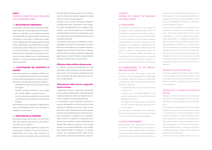#### CAPO I.

CRITERI DI CONDOTTA NELLE RELAZIONI CON LE PERSONE DI ENEL

### 3.7 SELEZIONE DEL PERSONALE

La valutazione del personale da assumere è effettuata in base alla corrispondenza dei profili dei candidati con quelli attesi e con le esigenze aziendali, nel rispetto delle pari opportunità per tutte le forme di diversità. Le informazioni richieste sono strettamente collegate alla verifica degli aspetti previsti dal profilo professionale e psicoattitudinale, nel rispetto della sfera privata e delle opinioni del candidato. La Funzione Persone e Organizzazione, nei limiti delle informazioni disponibili, adotta opportune misure per evitare qualsiasi forma di discriminazione, nepotismi, o forme di clientelismo nelle fasi di selezione e assunzione.

## 3.8 COSTITUZIONE DEL RAPPORTO DI LAVORO

Il personale è assunto con regolare contratto di lavoro; non è tollerata alcuna forma di lavoro irregolare. Alla costituzione del rapporto di lavoro ogni collaboratore riceve accurate informazioni relative a:

- caratteristiche della funzione e delle mansioni da svolgere;
- elementi normativi e retributivi, come regolati dal contratto collettivo nazionale di lavoro;
- norme e procedure da adottare al fine di evitare i possibili rischi per la salute associati all'attività lavorativa.

Tali informazioni sono presentate al collaboratore in modo che l'accettazione dell'incarico sia basata su un'effettiva comprensione.

#### 3.9 GESTIONE DELLE PERSONE

Enel assicura uguali opportunità e non discriminazione nella gestione delle persone valorizzando il contributo unico di ciascuno.

Nell'ambito dei processi di gestione e sviluppo delle persone (per esempio, in caso di promozione o trasferimento), così come in fase di selezione, le decisioni prese sono basate sulla corrispondenza tra profili attesi e profili posseduti e/o su considerazioni di merito (per esempio, assegnazione degli incentivi in base ai risultati raggiunti).

L'accesso a ruoli e incarichi è anch'esso stabilito in considerazione delle competenze e delle capacità, inoltre, compatibilmente con le esigenze organizzative, sono favorite quelle forme di flessibilità nell'organizzazione del lavoro che agevolano la gestione dello stato di genitorialità e dei carichi di cura e assistenza familiare.

La valutazione delle persone è effettuata in maniera allargata coinvolgendo i responsabili, la Funzione Persone e Organizzazione e, per quanto possibile, i soggetti che sono entrati in relazione con il valutato. Nei limiti delle informazioni disponibili e della tutela della privacy, la Funzione Persone e Organizzazione opera per impedire ogni forma favoritismo.

#### Diffusione delle politiche del personale

Le politiche di gestione del personale sono rese disponibili a tutte le persone in azienda attraverso gli strumenti di comunicazione aziendale (intranet, web tv aziendale, web radio, documenti e comunicazioni organizzative).

#### Valorizzazione delle persone e apprendimento continuo

I responsabili utilizzano e valorizzano pienamente tutte le professionalità presenti nell'organizzazione mediante l'attivazione delle leve disponibili per favorire lo sviluppo e la crescita delle persone. In quest'ambito, riveste particolare importanza lo scambio del feedback tra tutte le persone in modo da favorire il miglioramento continuo delle competenze. Enel mette a disposizione di tutte le persone strumenti di Knowledge Sharing e attività di formazione, residenziali e a distanza, per un apprendimento continuo e costante di competenze soft e tecniche per accrescere il valore professionale, nel rispetto delle attitudini personali ma anche dello sviluppo di nuove *skill* per affrontare i nuovi contesti. Enel considera infatti la 'formazione' uno stimolo continuo per l'autoapprendimento delle competenze e delle conoscenze necessarie per risponde-

## *CHAPTER I. CRITERIA OF CONDUCT IN RELATIONS WITH ENEL PEOPLE*

#### *3.7 RECRUITMENT*

*The evaluation of personnel to hire is based on the degree to which candidate profiles match the characteristics sought and the company's needs, in compliance with the principle of equal opportunities for all forms of diversity. The information requested is strictly related to checking of possession of the professional and aptitudinal characteristics the Company is seeking, without violating the private sphere or opinions of the candidate. Within the limits of the information available, the People and Organization Function takes appropriate measures to avoid any form of discrimination, nepotism, or cronyism during the recruitment and hiring process.*

## *3.8 ESTABLISHMENT OF THE EMPLOY-MENT RELATIONSHIP*

*Personnel are hired with proper employment contracts; no form of unregulated work relationships are tolerated. When the employment relationship is entered into, each employee receives accurate information regarding:*

- *the characteristics of the job and the work to be performed;*
- *normative and remunerative aspects of the position, as governed by the national collective bargaining agreement;*
- *the regulations and procedures to be adopted to avoid possible health risks associated with the work activity.*

*This information is presented to the candidate in such a way that acceptance of the position is based on his or her full and effective understanding.*

#### *3.9 PEOPLE MANAGEMENT*

*Enel guarantees equal opportunities and non-discrimination in the management of its people, recognizing and appreciating the individual contribution of each.In the context of people management and development (e.g., promotions or transfers), as*  *well as in the recruitment phase, the decisions taken are based on the correspondence between the required job profiles and the candidates' profiles and/or on considerations of merit (e.g., awarding of incentives based on results).*

*Access to roles and positions is also determined by considering competences and capabilities; in addition, the Company favors flexible forms of work organization – as far as compatible with organizational requirements – to facilitate management of parenthood and family care and assistance duties. People evaluation is carried out in a broad manner, with the involvement of managers, the People and Organization Function and, as far as possible, parties who have had dealings with the evaluated individual.Within the limits of the information available and data protection requirements, the People and Organization Function acts to prevent all forms of favoritism.*

#### *Disclosure of personnel policies*

*Personnel management policies are made available to all the people in the company by means of the corporate communication tools (Intranet, corporate web TV, web radio, organizational documents and communications).*

## *Empowerment of people and continuous learning*

*Managers use and fully exploit all the professional skills present in the organization by using the available levers to promote people growth and development.*

*The exchange of feedback between all the people involved in order to assist continuous improvement of competences is of particular importance in this context. Enel places in-house and distance knowledge sharing and training tools at the disposal of all its people to allow continuous learning and constant accumulation of soft and technical skills to build professional value, in compliance with personal aptitudes and also with the need to develop new skills to face new challenges.* 

*In this context, Enel considers "training" as a con-*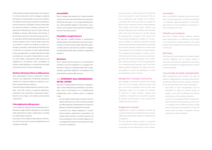re alle diverse professionalità presenti nel Gruppo e in continua evoluzione. Enel incoraggia la capacità del singolo di intraprendere un percorso formativo che rispetti i propri bisogni, le passioni e le attitudini e aiuti le persone a sviluppare il proprio potenziale, che varia da individuo a individuo, ponendo l'Empowerment delle persone al primo posto nella sua strategia di sviluppo delle persone del Gruppo. A tal fine Enel promuove, oltre alla formazione tecnico-operativa, *attività di learning* esperienziale e una continua apertura verso il mondo esterno secondo un principio di osmosi tra l'azienda e mondo universitario, scientifico, istituzionale nonché favorisce il confronto e lo scambio con altre realtà aziendali. Inoltre, per agevolare un costante allenamento delle competenze e uno spirito intraprendente e proattivo, Enel mette a disposizione delle persone una piattaforma di formazione online, accessibile da mobile, a livello globale su cui viene anche tracciata la fruizione dei corsi online e residenziali.

#### Gestione del tempo di lavoro delle persone

Ogni responsabile è tenuto a valorizzare il tempo di lavoro dei collaboratori richiedendo prestazioni coerenti con l'esercizio delle loro mansioni e con i piani di organizzazione del lavoro.

Costituisce abuso della posizione di autorità richiedere, come atto dovuto al superiore gerarchico, prestazioni, favori personali o qualunque comportamento che configuri una violazione del presente Codice Etico.

#### Coinvolgimento delle persone

Il coinvolgimento delle persone è essenziale alla realizzazione degli obiettivi aziendali e si concretizza nella partecipazione attiva, collaborativa e fondata su indipendenza di giudizio.

Il processo di formulazione delle decisioni finali tiene conto dei vari punti di vista compatibilmente con le esigenze aziendali.

#### Accessibilità

Enel si impegna alla creazione di contesti lavorativi inclusivi ponendo particolare attenzione all'accessibilità fisica dei luoghi in cui si svolge l'attività lavorativa, all'accessibilità digitale di informazioni, documenti e comunicazioni e alle specifiche necessità di strumenti lavorativi assistivi.

#### Flessibilità e luoghi di lavoro

Enel favorisce modalità flessibili di realizzazione della prestazione lavorativa assicurando pari opportunità di contribuzione ed equità nella valorizzazione delle persone sulla base dei risultati conseguiti e indipendentemente dalla modalità di svolgimento del lavoro.

#### Benessere

Enel è attenta alla promozione di comportamenti orientati al work life integration e si impegna attivamente a favorire il benessere personale e organizzativo quali fattori abilitanti il coinvolgimento e le potenzialità innovative delle persone.

## 3.10 INTERVENTI SULL'ORGANIZZAZIO-NE DEL LAVORO

Nel caso di riorganizzazione del lavoro, è salvaguardato il valore delle persone prevedendo, ove necessario, azioni di formazione e/o di riqualificazione professionale. Enel si attiene, perciò, ai seguenti criteri:

- gli oneri delle riorganizzazioni del lavoro devono essere distribuiti il più uniformemente possibile tra tutte le persone, coerentemente con l'esercizio efficace ed efficiente dell'attività d'impresa;
- la persona può essere assegnata a incarichi diversi rispetto a quelli svolti in precedenza, nel rispetto delle previsioni normative, avendo cura di accompagnare, ove ne ravveda l'esigenza con una adeguata formazione, l'acquisizione di nuove e diverse competenze.

*tinuous stimulus for self-learning of the skills and know-how required to meet the needs of the various professional roles present and constantly evolving within the Group. Enel encourages the ability of each individual to follow a training pathway that complies with his/her needs, interests, and aptitude, helping people to develop their potential, which varies from one person to another, placing the empowerment of people at the center of its Group people development strategy. For this purpose, in addition to technical-operational training Enel promotes experience based learning activities and constant openness towards the outside world in accordance with a principle of osmosis between the Company and the academic, scientific, and institutional world, and favors discussion and exchanges with other business enterprises. Also, to facilitate continuous training of skills and development of an enterprising and proactive spirit, Enel offers people a global, accessible, and mobile online training platform on which the attendance of online and residential courses is tracked.*

#### *Management of people's working time*

*Each manager is required to optimize the working time of his or her people, requiring services that are in line with the assigned roles and with work organization plans. It is an abuse of a position of authority to make requests, implying that compliance is required by a hierarchical superior, for services, personal favors, or any conduct that violates this Code of Ethics.*

#### *Engagement of people*

*Engagement of people is essential to achieve the corporate objectives and it takes the form of active, collaborative participation based on independence of judgement.* 

*The final decision-making process is conducted in accordance with various perspectives, as far as compatible with the requirements of the Company.*

#### *Accessibility*

*Enel is committed to creating inclusive work situations, focusing especially on physical accessibility to workplaces, digital accessibility of information, documents, and communications, and specific needs for assistive work tools.*

#### *Flexibility and workplaces*

*Enel favors flexible working methods, assuring equal opportunities for contribution and fairness in the assessment of people based on the results achieved and irrespective of the method of carrying out the work.*

#### *Well-being*

*Enel strives to promote behaviors oriented towards work-life integration and is actively involved in promoting personal and organizational well-being as factors enabling the engagement and innovative potential of people.*

### *3.10 ACTIONS ON WORK ORGANIZATION*

*When reorganizing work activities, the value of people is safeguarded by providing training and/or professional retraining actions wherever necessary. To this end, Enel follows the criteria listed below:*

- *• the burden of work reorganization must be distributed as evenly as possible among all people, in line with the effective and efficient performance of the business operations;*
- *a person can be assigned different responsibilities with respect to those previously carried out, in compliance with normative provisions, taking care to accompany the acquisition of new and diverse skills by means of adequate training, wherever the need is identified.*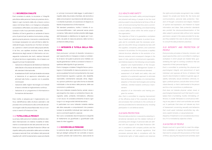#### 3.11 SICUREZZA E SALUTE

Enel considera la salute, la sicurezza e l'integrità psicofisica delle persone il bene più prezioso da tutelare in ogni momento della vita, al lavoro come a casa e nel tempo libero, e si impegna a sviluppare, consolidare e diffondere una solida cultura della sicurezza in tutto il suo perimetro aziendale.

Obiettivo di Enel è garantire un ambiente di lavoro privo di pericoli per la salute e la sicurezza, proteggere le proprie persone, ricercando costantemente le sinergie necessarie non solo all'interno delle Società del Gruppo, ma anche con i fornitori, le imprese, i partner e i clienti coinvolti nella propria attività. A tal fine, una capillare struttura interna, attenta all'evoluzione degli scenari di riferimento e al conseguente mutamento dei rischi, realizza interventi di natura tecnica e organizzativa, che si basano sui seguenti principi fondamentali:

- l'adozione e l'attuazione del Sistema di Gestione della Salute e Sicurezza dei lavoratori conforme allo standard internazionale;
- la valutazione di tutti i rischi per la salute e sicurezza e l'adozione di un approccio sistematico per eliminarli alla fonte o, quando non è possibile, minimizzarli;
- l'adozione delle migliori tecnologie e di metodi di lavoro orientati al miglioramento continuo;
- l'adozione di un programma di informazione e formazione dei lavoratori.

## 3.13 INTEGRITÀ E TUTELA DELLA PER-**SONA**

Enel, inoltre, si adopera per il miglioramento continuo dell'efficienza delle strutture aziendali e dei processi che contribuiscono alla continuità dei servizi erogati e alla Sicurezza Nazionale, tra cui il concorso in eventi di Protezione Civile.

#### 3.12 TUTELA DELLA PRIVACY

La privacy delle persone è tutelata adottando standard internazionali e le relative modalità di trattamento e conservazione dei dati personali sono definite con il supporto del *Data Protection Officer* nel rispetto delle policy aziendali e delle varie normative europee e nazionali. Enel, nel trattare i dati personali rispetta tutti i diritti fondamentali e osserva le libertà

e i principi riconosciuti dalla legge, in particolare il rispetto della vita privata e familiare, del domicilio e delle comunicazioni, la protezione dei dati personali, la libertà di pensiero, di coscienza e di religione, la libertà di espressione e d'informazione.

Tali standard prevedono, inoltre, il divieto di comunicare/diffondere i dati personali senza previo consenso, fatte salve le ipotesi previste dalla legge, dell'interessato e stabiliscono le regole per il controllo, da parte di ciascuna persona, delle norme a protezione della *privacy.*

Enel promuove i principi di diversità, inclusione e pari opportunità e si impegna a creare un ambiente di lavoro nel quale le persone sono trattate con equità garantendo il diritto a condizioni di lavoro rispettose della dignità di ogni persona.

Enel si impegna a tutelare l'integrità fisica e psicologica e l'individualità di ciascuna persona e si oppone a qualsiasi forma di comportamento che causi discriminazione riguardo a genere, età, disabilità, nazionalità, orientamento sessuale, etnia, religione, opinioni politiche e ogni altra forma di diversità individuale o che sia lesivo della persona, delle sue convinzioni o preferenze.

Non sono tollerate molestie fisiche, verbali, visive o psicologiche che creano un ambiente di lavoro denigrante, ostile, umiliante, intimidatorio, offensivo o non sicuro. Si considera ambiente di lavoro ogni luogo in cui venga svolta l'attività lavorativa. In particolare non sono tollerate molestie relative alla sfera sessuale e comportamenti che possano turbare le sensibilità individuali (per esempio allusioni e commenti espliciti o avance).

Non sono considerate discriminazione le disparità di trattamento se giustificate o giustificabili sulla base di criteri oggettivi.

#### 3.14 DOVERI DELLE PERSONE

La persona deve agire lealmente al fine di rispettare gli obblighi sottoscritti nel contratto di lavoro e quanto previsto dal Codice Etico, assicurando le

#### *3.11 HEALTH AND SAFETY*

*Enel considers the health, safety, and psychological and physical well-being of people to be the most precious asset to be protected at all times of life, at work, at home and during free time, and is committed to developing, consolidating, and disseminating a robust safety culture within the entire scope of the organization.*

*The objective of Enel is to guarantee a workplace free of health and safety hazards, to protect its people, and to constantly seek the necessary synergies not only within Group companies but also with the suppliers, companies, partners, and customers involved in its activities. For this purpose, a capillary internal structure, attentive to the evolution of reference scenarios and consequent changes in the types of risks, performs technical and organizational initiatives based on the following core principles:*

- *• adoption and implementation of the Occupational Health & Safety Management System in compliance with the international standard;*
- *• assessment of all health and safety risks and adoption of a systematic approach to eliminate them at the source if possible, or to minimize them;*
- *• adoption of the best technologies and working methods, oriented towards continuous improvement;*
- *• adoption of an information and training program for workers.*

*Also, Enel is committed to ongoing improvement of the efficiency level of the corporate structures and processes that contribute to the continuity of services provided and to national security, including participation in civil defense events.*

#### *3.12 DATA PROTECTION*

*Personal data protection is assured by adopting international standards and the related methods of processing and storage of personal data are defined with the support of the Data Protection Officer in compliance with company policies and the various European and national regulations. Enel processes personal data in compliance with the fundamental rights of data subjects and observes* 

*the rights and principles recognized in law, notably respect for private and family life, the home and communications, personal data protection, freedom of thought, conscience and religion, freedom of opinion and expression, and freedom to impart information and ideas. Data protection standards also prohibit the disclosure/dissemination of the data subject's personal data without prior express permission, except in the cases provided for by law, and they establish the rules to allow each individual to consult the data protection practices.*

## *3.13 INTEGRITY AND PROTECTION OF PEOPLE*

*Enel promotes principles of diversity, inclusion, and equal opportunities, and is committed to creating a workplace in which people are treated fairly, guaranteeing the right to working conditions that are respectful of their personal dignity.* 

*Enel is committed to protecting the physical and psychological integrity and personhood of each individual, and opposes all forms of behavior that result in discrimination in relation to gender, age, disability, nationality, sexual orientation, ethnicity, religion, political opinions, and all other forms of individual diversity, or that is detrimental to the person and his or her convictions or preferences.*

*Enel does not tolerate physical, verbal, visual, or psychological harassment such that result in a workplace that is humiliating, hostile, intimidating, offensive, or unsafe. Workplace is construed as referring to any place in which work activities are carried out. In particular, Enel does not tolerate any form of harassment concerning sexuality and behaviors that could upset individual sensitivities (e.g. allusions, explicit remarks, or sexual advances).*

*Disparity of treatment is not considered discriminatory if it is motivated by objective criteria.* 

### *3.14 DUTIES OF PEOPLE*

*People must act in good faith to meet the obligations undertaken on signing the employment contract and to comply with the provisions of the Code of Ethics, assuring the required work activities; each*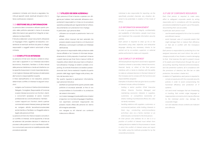prestazioni richieste; ed è tenuto a segnalare, tramite gli appositi canali, eventuali situazioni che ritiene costituiscano violazioni.

#### 3.15 GESTIONE DELLE INFORMAZIONI

La persona deve conoscere e attuare quanto previsto dalle politiche aziendali in tema di sicurezza delle informazioni per garantirne l'integrità, la riservatezza e la disponibilità.

È tenuta a elaborare i propri documenti utilizzando un linguaggio chiaro, oggettivo ed esaustivo, consentendo le eventuali verifiche da parte di colleghi, responsabili o soggetti esterni autorizzati a farne richiesta.

#### 3.16 CONFLITTO DI INTERESSI

Le persone di Enel sono tenute a evitare le situazioni reali o apparenti in cui l'interesse secondario (economico, finanziario, familiare o di altra natura) della persona interferisce o tende ad interferire con la capacità di assumere in modo imparziale decisioni nel migliore interesse dell'impresa e di adempiere alle funzioni e responsabilità ricoperte.

A titolo esemplificativo e non esaustivo, possono determinare conflitto di interessi le seguenti situazioni:

- svolgere una Funzione di Vertice (Amministratore Delegato, Consigliere, Responsabile di Funzione) e avere interessi economici con fornitori, clienti, o concorrenti (possesso di azioni, incarichi professionali ecc.) anche attraverso i familiari;
- curare i rapporti con i fornitori, clienti o partner commerciali e avere interessi presso gli stessi (ad es. svolgere attività lavorativa/consulenziale) anche tramite un Familiare o un Soggetto esterno legato alla persona di Enel;

La persona di Enel che ritiene di essere coinvolta in un conflitto di interessi, anche apparente, è tenuta ad astenersi dal prendere decisioni in relazione ai processi o alle questioni in cui si manifesta il conflitto e comunicarlo secondo le modalità previste dalle procedure aziendali.

#### 3.17 UTILIZZO DEI BENI AZIENDALI

Ogni persona di Enel è tenuta a operare con diligenza per tutelare i beni aziendali, attraverso comportamenti responsabili e in linea con le procedure operative predisposte per regolamentarne l'utilizzo, documentando con precisione il loro impiego. In particolare, ogni persona deve:

- utilizzare con scrupolo e parsimonia i beni a lui affidati;
- evitare utilizzi impropri dei beni aziendali che possano essere causa di danno o di riduzione di efficienza, o comunque in contrasto con l'interesse dell'Azienda.

Ogni persona è responsabile della protezione delle risorse affidate e ha il dovere di informare tempestivamente le Unità preposte di eventuali minacce o eventi dannosi per Enel. Enel si riserva il diritto di impedire utilizzi distorti dei propri beni e infrastrutture attraverso l'impiego di sistemi contabili, di reporting, di controllo finanziario e di analisi e prevenzione dei rischi, fermo restando il rispetto di quanto previsto dalle leggi vigenti (legge sulla privacy, statuto dei lavoratori ecc.).

Per quanto riguarda le applicazioni informatiche, ogni persona è tenuta a:

- adottare scrupolosamente quanto previsto dalle politiche di sicurezza aziendali, al fine di non compromettere la funzionalità e la protezione dei sistemi informatici;
- non inviare messaggi di posta elettronica minatori e ingiuriosi, non ricorrere a linguaggio irrispettoso, non esprimere commenti inappropriati che possano recare offesa alla persona e/o danno all'immagine aziendale;
- non navigare su siti internet con contenuti indecorosi e offensivi.

*individual is also responsible for reporting, via the specifically provided channels, any situation deemed to be potentially in violation of the Code of Ethics.*

#### *3.15 INFORMATION MANAGEMENT*

*In order to guarantee the integrity, confidentiality and availability of information, people must know and implement the corporate information security policies.*

*Each person is required to draw up his or her documents using clear, objective, and exhaustive language, allowing any necessary checks to be carried out by co-workers, superiors, or external parties authorized to make such requests.*

#### *3.16 CONFLICT OF INTEREST*

*All Enel people are required to avoid real or apparent situations wherein a secondary interest (economic, financial, family, or other) of the Enel person interferes with or tends to interfere with the ability to make an unbiased decision in the best interest of the Company and to comply with the functions and responsibilities assigned.*

*Examples of situations that can give rise to a conflict of interest include, without limitation:*

- *holding a senior position (Chief Executive Officer, Director, Function Manager) and maintaining economic interests in suppliers, customers, or competitors (ownership of shares, holding of professional offices, etc.), also via family members;*
- *handling relations with suppliers, customers, or commercial partners while holding interests in them (e.g., conducting work/consultancy activities), also via a family member or an external party connected to the Enel person;*

*An Enel person who believes he or she is in a position of conflict of interest must refrain from making decisions related to the processes or issues in which the conflict of interest arises and report the matter using the methods provided for by the corporate procedures.*

#### *3.17 USE OF CORPORATE RESOURCES*

*Each Enel person is required to make every effort to safeguard corporate assets by acting responsibly and in compliance with the operating procedures established to govern use of the assets, documenting their use accurately.*

*In particular, each person must:*

- *use the assets assigned to him or her in a careful and efficient manner;*
- *avoid improper uses of corporate assets that might damage them or reduce their efficiency or that are in conflict with the Company's interests.*

*Each person is responsible for protecting his or her assigned resources and must inform the units in charge promptly of any threats or events damaging to Enel. Enel reserves the right to prevent misuse of its assets and infrastructure through the use of accounting, reporting, financial control and analysis, and risk prevention systems, all in compliance with the provisions of statutory law (the law on data protection, the workers' charter etc.).*

*In relation to IT applications, each person is required to:*

- *comply scrupulously with the corporate security policies in order to avoid compromising the functional efficiency and protection of IT systems;*
- *not send email messages that are threatening or insulting, that contain vulgar language or inappropriate comments which may be offensive to the individual and/or may damage the corporate image;*
- *not visit websites whose contents are indecent and offensive.*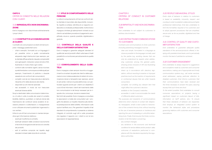#### CAPO II.

CRITERI DI CONDOTTA NELLE RELAZIONI CON I CLIENTI

## 3.18 IMPARZIALITÀ E NON DISCRIMINA-ZIONE

Enel si impegna a non discriminare arbitrariamente i propri clienti.

## 3.19 I CONTRATTI E LE COMUNICAZIONI AI CLIENTI

I contratti e le comunicazioni ai clienti di Enel (compresi i messaggi pubblicitari) sono:

- chiari e semplici, formulati con un linguaggio il più possibile vicino a quello normalmente adoperato dagli interlocutori (per esempio, per la clientela diffusa evitando clausole comprensibili solo agli esperti, indicando i prezzi al lordo d'IVA, illustrando in modo chiaro ogni costo);
- conformi alle normative vigenti, senza ricorrere a pratiche elusive o comunque scorrette (quali per esempio, l'inserimento di pratiche o clausole vessatorie nei confronti dei consumatori);
- completi, così da non trascurare alcun elemento rilevante ai fini della decisione del cliente;
- disponibili sui siti internet aziendali;
- resi accessibili, in modo da non trascurare eventuali diverse abilità.

## 3.20 STILE DI COMPORTAMENTO DELLE **PERSONE**

Scopi e destinatari delle comunicazioni determinano, di volta in volta, la scelta dei canali di contatto (bolletta, telefono, quotidiani, e-mail) più idonei alla trasmissione dei contenuti senza avvalersi di eccessive pressioni e sollecitazioni, e impegnandosi a non utilizzare strumenti pubblicitari ingannevoli o non veritieri.

Infine è cura di Enel comunicare in maniera tempestiva ogni informazione relativa a:

- eventuali modifiche al contratto;
- eventuali variazioni delle condizioni economiche e tecniche di erogazione del servizio e/o vendita dei prodotti;
- esiti di verifiche compiute nel rispetto degli standard richiesti dalle Autorità di controllo.

Lo stile di comportamento di Enel nei confronti della clientela è improntato alla disponibilità, inclusività, rispetto e cortesia, nell'ottica di un rapporto collaborativo e di elevata professionalità. Inoltre Enel si impegna a limitare gli adempimenti richiesti ai suoi clienti e ad adottare procedure di pagamento semplificate, sicure e, quando possibile, digitalizzate e gratuite.

## 3.21 CONTROLLO DELLA QUALITÀ E DELLA CUSTOMER SATISFACTION

Enel si impegna a garantire adeguati standard di qualità dei servizi/prodotti offerti sulla base di livelli predefiniti e a monitorare periodicamente la qualità percepita.

## 3.22 COINVOLGIMENTO DELLA CLIEN-TELA

Enel si impegna a dare sempre riscontro ai suggerimenti e ai reclami da parte dei clienti e delle associazioni a loro tutela avvalendosi di sistemi di comunicazione idonei e tempestivi (per esempio, servizi di call center, indirizzi di posta elettronica), con particolare riguardo anche per i clienti con disabilità. È cura di Enel informare i clienti del ricevimento delle loro comunicazioni e dei tempi necessari per le risposte che, comunque, dovranno essere brevi. Nei limiti del possibile, Enel si impegna a consultare le associazioni a tutela dei consumatori per i progetti che abbiano un impatto rilevante sulla clientela (predisposizione delle bollette, informazioni sulle opzioni tariffarie, ecc.). Per garantire il rispetto di tali standard di comportamento, è presente un sistema integrato di controllo sugli stili e sulle procedure che regolano il rapporto con i clienti e con le loro associazioni di rappresentanza.

### *CHAPTER II.*

*CRITERIA OF CONDUCT IN CUSTOMER RELATIONS*

## *3.18 IMPARTIALITY AND NON DISCRIMINA-TION*

*Enel undertakes to not subject its customers to arbitrary discrimination.*

## *3.19 CONTRACTS AND COMMUNICATIONS TO CUSTOMERS*

*Contracts and communications to Enel customers (including advertising messages) must be:*

- *clear and simple, formulated in a language as close as possible to the language normally used by the parties (e.g. avoiding clauses that can only be understood by experts when addressing customers among the general public, showing prices inclusive of VAT and illustrating each cost clearly);*
- *drawn up in accordance with statutory legislation, without resorting to evasive or improper practices (such as the insertion of requirements or contractual clauses that are unfair towards consumers);*
- *complete, not omitting any relevant item that might affect the customer's decision;*
- *available on the Company's websites;*
- *accessible, in order to accommodate the needs of differently abled customers.*

*The purposes and recipients of communications determine which channel of contact (bill, telephone, newspapers, email) is best suited to transmission of the contents time by time, without resorting to the use of excessive pressure or insistence and rejecting the use of misleading or untruthful advertising tools. Finally, Enel ensures the timely communication of all information concerning:*

- *any contract changes;*
- *any variations in the economic and technical conditions for service delivery and/or product sales;*
- *outcomes of evaluations performed in compliance with the standards required by the regulatory authorities.*

#### *3.20 PEOPLE'S BEHAVIORAL STYLES*

*Enel's style of behavior in relation to customers is based on availability, inclusivity, respect, and courtesy in order to establish collaborative and highly professional relationships. Enel also undertakes to limit the formalities required of its customers and to adopt payment procedures that are simplified, secure and, as far as possible, digitalized and free of charge.*

## *3.21 CONTROL OF QUALITY AND CUSTO-MER SATISFACTION*

*Enel undertakes to guarantee adequate quality standards of the services/products offered, in keeping with predetermined levels, and to periodically monitor the level of satisfaction achieved.*

#### *3.22 CUSTOMER ENGAGEMENT*

*Enel undertakes to always respond to suggestions and complaints made by customers and consumer associations, making use of appropriate and timely communication systems (e.g., call center services, email addresses), paying particular attention to disabled customers. Enel informs customers that their communications have been received and the times necessary to answer the query, assuring anyway that such times are short.*

*To the extent possible, Enel undertakes to consult consumer associations on projects having a significant impact on customers (layout of bills, information on tariff options, etc.). To ensure that these standards of behavior are respected, Enel employs an integrated control system to monitor the behavioral styles and procedures governing relations with customers and consumer associations.*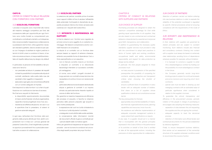### CAPO III.

## CRITERI DI CONDOTTA NELLE RELAZIONI CON I FORNITORI E CON I PARTNER

## 3.23 SCELTA DEL FORNITORE

I processi di acquisto sono improntati alla ricerca del massimo vantaggio competitivo per Enel, alla concessione delle pari opportunità per ogni fornitore; sono inoltre fondati su comportamenti precontrattuali e contrattuali orientati a un'indispensabile e reciproca lealtà, trasparenza e collaborazione. Le prestazioni dei fornitori, oltre a garantire i necessari standard qualitativi, devono andare di pari passo con l'impegno di adottare le migliori pratiche in termini di diritti umani e condizioni di lavoro, di salute e sicurezza sul lavoro, di responsabilità ambientale e di rispetto della *privacy by design e by default.*

- non precludere ad alcuno in possesso dei requisiti richiesti la possibilità di competere alla stipula di contratti, adottando nella scelta della rosa dei candidati criteri oggettivi e trasparenti;
- assicurare a ogni gara una concorrenza sufficiente con un numero adeguato di imprese.

In particolare, le persone di Enel addette a tali processi sono tenuti a:

Enel dispone di un albo fornitori i cui criteri di qualificazione non costituiscono barriera di accesso. Per Enel sono requisiti di riferimento:

- la disponibilità opportunamente documentata di mezzi, anche finanziari, strutture organizzative, capacità e risorse progettuali, know-how, ecc.;
- l'esistenza ed effettiva attuazione, nei casi in cui le specifiche Enel lo prevedano, di sistemi di gestione aziendali adeguati.

In ogni caso, nell'ipotesi che il fornitore, nello svolgimento della propria attività per Enel, adotti comportamenti non in linea con i princípi generali del presente Codice Etico, Enel è legittimata a prendere opportuni provvedimenti fino a precludere eventuali altre occasioni di collaborazione.

#### 3.24 SCELTA DEL PARTNER

La selezione dei partner condotta prima di avviare nuovi rapporti d'affari al fine di valutare l'affidabilità della potenziale Controparte è disciplinata da apposite procedure interne che mirano ad assicurare coerenza con i requisiti del Codice Etico.

## 3.25 INTEGRITÀ E INDIPENDENZA NEI RAPPORTI

In Enel le relazioni con i fornitori sono regolate da princípi comuni e sono oggetto di un costante monitoraggio. Tali relazioni comprendono anche i contratti finanziari e di consulenza.

La stipula di un contratto con un fornitore deve sempre basarsi su rapporti di estrema chiarezza, evitando ove possibile forme di dipendenza. Così, a titolo esemplificativo e non esaustivo:

- non è ritenuto corretto indurre un fornitore a stipulare un contratto a lui sfavorevole lasciandogli intendere un successivo contratto più vantaggioso;
- di norma, sono evitati i progetti vincolanti di lungo periodo con contratti a breve termine che necessitano di continui rinnovi con revisione dei prezzi;
- particolare attenzione dovrà essere dedicata alla stipula e gestione di contratti il cui importo stimato sia particolarmente rilevante rispetto al volume di affari del fornitore.

Per garantire la massima trasparenza ed efficienza del processo di acquisto, è favorita la rotazione periodica delle persone preposte agli acquisti e sono inoltre predisposte:

- la separazione dei ruoli tra l'unità richiedente la fornitura e l'unità stipulante il contratto;
- un'adeguata ricostruibilità delle scelte adottate;
- la conservazione delle informazioni nonché dei documenti ufficiali di gara e contrattuali per i periodi stabiliti dalle normative vigenti.

Infine, per garantire la trasparenza nei rapporti, Enel procede - ove ne ricorrano le condizioni ad una verifica degli assetti proprietari dei propri fornitori.

## *CHAPTER III. CRITERIA OF CONDUCT IN RELATIONS WITH SUPPLIERS AND PARTNERS*

#### *3.23 CHOICE OF SUPPLIER*

*Purchasing processes are designed to obtain the maximum competitive advantage for Enel while granting equal opportunities to all suppliers; they are also based on pre-contractual and contractual behaviors characterized by essential and reciprocal good faith, transparency, and collaboration.*

*In addition to guaranteeing the necessary quality standards, supplier services must proceed in step with the commitment to adopt best practices in terms of human rights and working conditions, occupational health and safety, environmental responsibility, and respect for data protection by design and by default.*

*In particular, the Enel people assigned to these processes must:*

- *not deny anyone in possession of the specified prerequisites the possibility of competing for contracts, adopting objective and transparent criteria when choosing the shortlist of candidates;*
- *ensure a sufficient level of competition in every tender with an adequate number of bidders. Enel draws on a list of suppliers whose qualification criteria do not constitute an access barrier.*

*The key prerequisites for Enel are:*

- *appropriately documented availability of means, also financial, organizational structures, planning capabilities and resources, know-how etc.;*
- *the existence and effective implementation of adequate corporate management systems in cases where Enel's specifications so require.*

*In any case, if a supplier should act in a manner that is incompatible with the general principles expressed in this Code of Ethics in the performance of its activities on behalf of Enel, Enel is entitled to take all the appropriate actions, including the preclusion of other opportunities for collaboration.*

#### *3.24 CHOICE OF PARTNERS*

*Selection of partners carried out before entering into new business relations in order to evaluate the reliability of the potential counterpart is regulated by specific internal procedures aimed at ensuring compliance with the requirements of the Code of Ethics.*

## *3.25 INTEGRITY AND INDEPENDENCE IN RELATIONS*

*In Enel, relations with suppliers are governed by shared principles and are subject to constant monitoring. Such relations include also financial and consultancy contracts. Entering into contact with a supplier must always be based on extremely clear relationships, avoiding forms of dependence wherever possible. For example, without limitation:*

- *it is improper to convince a supplier to enter into a disadvantageous contract by holding out the possibility of a more advantageous contract in the future;*
- *• the Company generally avoids long-term binding projects subject to continual renewals and price revisions and requiring short-term contracts;*
- *• special care must be taken in drawing up and managing contracts with an estimated value of particular significance when considered in relation to the supplier's turnover.*

*To guarantee the utmost transparency and efficiency in the procurement process, periodic rotation of the people in charge of purchasing is encouraged, also adopting the following measures:*

- *separation of roles between the unit requesting the supplies and the unit signing the contract;*
- *adequate capacity to track the decisional process;*

*• retention of information and official tender and contractual documents for the periods established by statutory legislation.*

*Finally, to ensure transparent business relations, Enel carries out an assessment of the ownership structure of its suppliers whenever conditions exist to recommend this course of action.*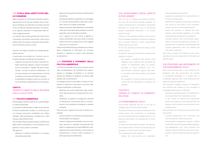## 3.26 TUTELA DEGLI ASPETTI ETICI NEL-LE COMMESSE

Nella prospettiva di conformare l'attività di approvvigionamento ai princípi etici adottati, Enel si impegna a richiedere, per particolari commesse, requisiti di tipo sociale (per esempio attraverso l'introduzione di specifici parametri di sostenibilità nelle formule di aggiudicazione).

Le violazioni dei princípi generali del Codice Etico comportano meccanismi sanzionatori, tesi anche a evitare reati che possano comportare responsabilità amministrativa a carico di Enel.

A tal fine, nei singoli contratti sono predisposte apposite clausole.

In particolare, nei contratti con i fornitori, sono introdotte clausole contrattuali che prevedono:

- l'adesione da parte del fornitore a specifici obblighi sociali (per esempio, misure che garantiscono ai lavoratori il rispetto dei diritti fondamentali, i princípi di parità di trattamento e di non discriminazione, la tutela del lavoro minorile o l'adesione ai principi del Global Compact);
- la possibilità di avvalersi di azioni di controllo, al fine di verificare il soddisfacimento di tali requisiti.

#### CAPO IV.

## CRITERI DI CONDOTTA NELLE RELAZIONI CON LA COLLETTIVITÀ

#### 3.27 POLITICA AMBIENTALE

Enel persegue obiettivi coerenti con quelli strategici in materia ambientale.

La protezione dell'ambiente e delle risorse naturali, la lotta ai cambiamenti climatici, e il contributo per uno sviluppo economico sostenibile sono fattori strategici nella pianificazione, nell'esercizio e nello sviluppo delle attività di Enel.

Per sfruttare tutte le possibili sinergie, la definizione della politica ambientale e la sua attuazione sono gestite in modo unitario e coerente.

- Tale gestione:
- definisce le politiche ambientali e di sviluppo industriale sostenibile;
- elabora le linee guida di attuazione della politica ambientale;
- individua gli indicatori e garantisce il monitoraggio e il controllo dell'andamento delle azioni aziendali in termini di impatto ambientale;
- segue l'evoluzione della legislazione ambientale nazionale e internazionale e predispone indirizzi applicativi verso le Società controllate;
- cura i rapporti con enti, istituti e agenzie in campo ambientale; promuove, attua e coordina intese e accordi di programma con tali soggetti oltre che con le istituzioni.

Ciascuna Società del Gruppo prevede al suo interno figure professionali di riferimento e/o strutture operative in relazione ai compiti e alle specifiche problematiche.

## 3.28 STRATEGIE E STRUMENTI DELLA POLITICA AMBIENTALE

La Politica ambientale di Enel trova supporto anche nella consapevolezza che l'ambiente può rappresentare un vantaggio competitivo in un mercato sempre più allargato ed esigente nel campo della qualità e dei comportamenti.

La strategia di Enel è improntata a un'ottica di investimenti e attività che rispondono ai princìpi dello sviluppo sostenibile; in particolare:

- destinare una quota significativa degli investimenti alla produzione di energia da fonti rinnovabili;
- nell'ambito di organismi e programmi nazionali e internazionali, promuovere azioni e comportamenti che considerano strategica la variabile ambiente.

Enel promuove i seguenti strumenti di politica ambientale:

- accordi volontari con le Istituzioni e le associazioni ambientaliste e di categoria;
- sistemi di Gestione Ambientale, che sono certificati secondo lo standard internazionale ISO 14001 e il regolamento europeo EMAS (*Eco-Management and Audit Schem*e), e che puntano al miglioramento continuo delle prestazioni e dell'organizzazione ambientale;

## *3.26 SAFEGUARDING ETHICAL ASPECTS IN PROCUREMENT*

*With the aim of bringing procurement activities into line with the ethical principles adopted, for certain contracts Enel is committed to demanding attributes of a social nature (e.g., by introducing specific sustainability parameters in its contact award formulas).*

*Violations of the general principles of the Code of Ethics will trigger disciplinary mechanisms, designed also to prevent offences in which administrative liability may accrue to Enel.* 

*To this end, individual contracts are drawn up with specific clauses.*

*In particular, clauses are inserted into contracts with suppliers to require:*

- *the supplier's compliance with specific social obligations (e.g. measures that guarantee the respect of fundamental rights for workers, principles of equal treatment and nondiscrimination, protection against child labor, or compliance with the principles of the Global Compact);*
- *the possibility of using monitoring actions to confirm that the requirements in question are satisfied.*

## *CHAPTER IV. CRITERIA OF CONDUCT IN COMMUNITY RELATIONS*

#### *3.27 ENVIRONMENTAL POLICY*

*Enel pursues objectives that are in line with its strategic goals in environmental matters. Protection of the environment and natural resources, climate action, and contribution to sustainable* 

*economic development are strategic factors in the planning, performance, and development of Enel's operations.*

*To make use of all possible synergies, the definition and implementation of the environmental policy are managed in a uniform and consistent manner. The management system adopted:*

*• defines the environmental and sustainable* 

*industrial development policies;*

- *prepares the guidelines for implementation of the environmental policy;*
- *identifies the indicators and ensures monitoring and control of the results of the Company's actions in terms of environmental impact;*
- *• follows the evolution of national and international environmental legislation and drafts implementation guidelines for subsidiaries;*
- *• oversees relations with environmental organizations, institutes and agencies; promotes, implements, and coordinates understandings and program agreements with such entities and with public institutions.*

*Each Group company has reference roles and/or operating structures responsible for the tasks and specific issues.*

## *3.28 STRATEGIES AND INSTRUMENTS OF THE ENVIRONMENTAL POLICY*

*Enel's environmental policy is also backed by the awareness that the environment can provide a competitive advantage in a market that is increasingly large and ever more demanding with regard to quality and behaviors.*

*The Company's strategy is based on investments and activities that respond to the principles of sustainable development; in particular:*

- *allocating a significant portion of investments to power generation from renewable sources;*
- *in the context of national and international bodies and programs, promoting activities and behaviors that consider the environment to be a strategic factor.*

*Enel promotes the following environmental policy instruments:*

- *• voluntary agreements with institutions and environmental and trade associations;*
- *• environmental management systems certified to ISO 14001 and the European EMAS regulation (Eco-Management and Audit Scheme) and oriented towards achieving continuous improvement in environmental services and organization;*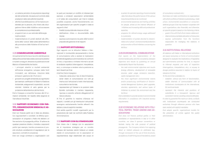- un sistema periodico di acquisizione (*reporting*) dei dati ambientali, che assicura il controllo delle prestazioni delle varie attività industriali;
- attività di sensibilizzazione e di formazione ambientale per le persone, che mirano alla divulgazione interna delle iniziative e ad accrescere le competenze e le professionalità;
- programmi per un uso razionale dell'energia rivolti ai clienti;
- implementazione di portali dedicati alla diffusione della "cultura" della tutela dell'ambiente e alla promozione delle iniziative di Enel sul territorio.

#### 3.29 COMUNICAZIONE AMBIENTALE

## 3.30 RAPPORTI ECONOMICI CON PAR-TITI, ORGANIZZAZIONI SINDACALI E AS-**SOCIAZIONI**

Annualmente Enel fornisce riscontro dell'attuazione della politica ambientale e della coerenza tra obiettivi e risultati conseguiti, attraverso la pubblicazione del Bilancio di Sostenibilità che illustra:

- i principali obiettivi e risultati ambientali (efficienza energetica, sviluppo delle fonti rinnovabili, uso dell'acqua, riduzione delle emissioni; gestione dei rifiuti ecc.);
- gli eventi e/o progetti ambientali più significativi (per esempio: certificazioni di Sistemi di Gestione Ambientale, adeguamenti impiantistici, accordi volontari, iniziative di vario genere per la protezione dell'ambiente e del territorio).

Enel si impegna a consentire l'accesso alle inf ormazioni ambientali, nel rispetto delle esigenze di riservatezza industriale.

Enel non finanzia partiti sia in Italia sia all'estero, loro rappresentanti o candidati, né effettua sponsorizzazioni di congressi o feste che abbiano un fine esclusivo di propaganda politica. Si astiene da qualsiasi pressione diretta o indiretta a esponenti politici (per esempio, tramite concessione di proprie strutture, accettazione di segnalazioni per le assunzioni, contratti di consulenza).

Enel non eroga contributi a organizzazioni con

le quali può ravvisarsi un conflitto di interessi (per esempio, a sindacati, associazioni ambientaliste o di tutela dei consumatori); per Enel è tuttavia possibile cooperare, anche finanziariamente, con tali organizzazioni per specifici progetti in base ai seguenti criteri:

- finalità riconducibile alla missione di Enel;
- destinazione chiara e documentabile delle risorse;
- espressa autorizzazione da parte delle funzioni preposte alla gestione di tali rapporti.

#### 3.31 RAPPORTI ISTITUZIONALI

Ogni rapporto con le istituzioni italiane o internazionali è riconducibile esclusivamente a forme di comunicazione volte a valutare le implicazioni dell'attività legislativa e amministrativa nei confronti di Enel, a rispondere a richieste informali e ad atti di sindacato ispettivo (interrogazioni, interpellanze, ecc.), o comunque a rendere nota la posizione su temi rilevanti per Enel.

A tal fine, Enel si impegna a:

- instaurare, senza alcun tipo di discriminazione, canali stabili di comunicazione con tutti gli interlocutori istituzionali a livello internazionale, comunitario e territoriale;
- rappresentare gli interessi e le posizioni delle Società controllate in maniera trasparente, rigorosa e coerente, evitando atteggiamenti di natura collusiva.

Al fine di garantire la massima chiarezza nei rapporti, i contatti con gli interlocutori istituzionali avvengono esclusivamente tramite referenti che abbiano ricevuto esplicito mandato.

Enel adotta specifici modelli organizzativi per la prevenzione dei reati nei confronti della Pubblica Amministrazione.

#### 3.32 RAPPORTI CON GLI STAKEHOLDER

Enel ritiene che il dialogo con le associazioni sia di importanza strategica per un corretto sviluppo del business; perciò instaura un canale stabile di comunicazione con le associazioni di rappresentanza degli stakeholder allo scopo di

- *a system for periodic reporting of environmental data that allows the performance of the various industrial activities to be monitored;*
- *environmental awareness and training activities for people, aimed at the internal diffusion of initiatives and increasing skills and professional expertise;*
- *programs for rational energy usage addressed to customers;*
- *• implementation of portals devoted to dissemination of a "culture" of environmental protection and promotion of Enel initiatives concerning the territory.*

#### *3.29 ENVIRONMENTAL COMMUNICATIONS*

*Enel reports on the implementation of the environmental policy and the consistency between objectives and results by publishing an annual Sustainability Report that illustrates:*

- *• the main environmental objectives and results (energy efficiency, development of renewable sources, water usage, emissions reduction, waste management, etc.);*
- *• the most significant environmental events and/or projects (e.g. certification of Environmental Management Systems, plant upgrades, voluntary agreements, and various types of initiatives to protect the environment and the territory).*

*Enel undertakes to provide access to environmental information in compliance with industrial secrecy requirements.*

## *3.30 ECONOMIC RELATIONS WITH POLI-TICAL PARTIES, TRADE UNIONS AND AS-SOCIATIONS*

*Enel does not finance political parties or their candidates or representatives in Italy or in other countries, nor does it sponsor conventions or festivals having the sole purpose of political propaganda. The Company refrains from applying direct or indirect pressure on politicians (e.g., through concession of the use of Enel structures, acceptance of staff hiring recommendations, award*  *of consultancy contracts etc.).*

*Enel does not make contributions to organizations with which conflicts of interest could arise (e.g., trade unions, environmental associations or consumerdefense groups): Enel may however cooperate with such organizations, also financially, and otherwise, on specific projects based on the following criteria:*

- *goals in line with Enel's Enel mission statement;*
- *clear and documentable allocation of resources;*
- *• express authorization from the functions responsible for managing the relations in question.*

#### *3.31 INSTITUTIONAL RELATIONS*

*All relations with Italian or international institutions are based exclusively on forms of communication designed to evaluate the implications of legislative and administrative activities for Enel, to respond to informal requests and acts of inspection (interrogations, interpellations, etc.), or anyway to divulge positions assumed in relation to topics of relevance for Enel.*

*To this end, Enel undertakes to:*

- *establish, without any form of discrimination, stable channels of communication with all institutional counterparts at the international, EU, and local levels;*
- *represent the interests and positions of subsidiaries in a transparent, rigorous and consistent manner, avoiding collusive attitudes.*

*In order to guarantee the maximum clarity, contacts with institutional counterparts are conducted exclusively through reference persons who have been vested with explicit mandates.*

*Enel adopts specific organizational models for the prevention of crimes against the public administration.*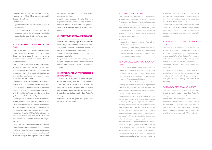cooperare nel rispetto dei reciproci interessi, presentare le posizioni di Enel e prevenire possibili situazioni di conflitto.

A tal fine, Enel:

- garantisce risposta alle osservazioni di tutte le associazioni;
- quando possibile, è orientata a informare e coinvolgere, sui temi che interessano specifiche classi di stakeholder, le più qualificate e rappresentative associazioni di categoria.

## 3.33 CONTRIBUTI E SPONSORIZZA-ZIONI

Enel SpA, con altre Società del Gruppo, ha costituito un'Associazione senza scopo di lucro – Enel Cuore Onlus - che ha lo scopo di intervenire nei campi del sociale e del non profit, nel rispetto del ruolo e dell'etica di ciascuno.

Enel Cuore onlus ha lo scopo di perseguire esclusive finalità di solidarietà sociale nei confronti di soggetti svantaggiati, con particolare riferimento alle persone con disabilità, ai malati, all'infanzia e alla terza età. Essa costituisce il principale strumento del Gruppo Enel in tali ambiti.

Enel supporta, attraverso gli strumenti offerti dall'ordinamento giuridico vigente (e.g. erogazioni liberali, attività di sponsorizzazione o stipulando specifiche convenzioni), iniziative che possano riguardare i temi del sociale, dell'ambiente, dello sport, dello spettacolo e dell'arte, della divulgazione scientifica e tecnologica. In particolare, le attività di sponsorizzazione dovranno offrire garanzia di qualità, e potranno rispondere a specifiche esigenze territoriali (laddove Enel intenda sostenere iniziative in territori di interesse industriale) in stretto rapporto con i soggetti attivi negli ambiti territoriali interessati (a titolo esemplificativo, istituzioni, enti locali, enti del terzo settore) con i quali Enel collabora alla progettazione.

In ogni caso, nella scelta delle proposte cui aderire, Enel presta particolare attenzione a ogni possibile conflitto di interessi di ordine personale o aziendale (per esempio, rapporti di parentela con i soggetti interessati o legami con organismi che possano,

per i compiti che svolgono, favorire in qualche modo l'attività di Enel).

La gestione delle erogazioni liberali e delle attività di sponsorizzazione risulta disciplinata da apposite procedure interne, al fine anche di garantirne coerenza, trasparenza e compliance alla normativa applicabile.

#### 3.34 ANTITRUST E ORGANI REGOLATORI

Enel dà piena e scrupolosa osservanza alle regole antitrust e alle Authority regolatrici del mercato.. Enel non nega, nasconde, manipola o ritarda alcuna informazione richiesta dall'Autorità antitrust e dagli altri organi di regolazione nelle loro funzioni ispettive, e collabora attivamente nel corso delle procedure istruttorie.

Per garantire la massima trasparenza, Enel si impegna a non trovarsi con dipendenti di qualsiasi Authority e loro familiari in situazioni di conflitto di interessi.

## 3.35 AUTORITÀ PER LA PROTEZIONE DEI DATI PERSONALI

Enel collabora con le Autorità di riferimento per la materia della privacy, attraverso il *Data Protection Officer*, preposto al contatto e alla gestione delle procedure istruttorie, secondo quanto previsto dalle policy di gruppo e dalle normative in materia di protezione dei dati personali. Il *Data Protection Officer* garantisce il rispetto della normativa sulla protezione dei dati nei paesi ove opera Enel a contatto con i propri clienti.

#### *3.32 STAKEHOLDER RELATIONS*

*Enel believes that dialogue with associations is strategically important for correct business development; the Company has therefore set up a stable channel of communication with stakeholder representative associations in order to co-operate in accordance with mutual interests, present the positions of Enel, and prevent the emergence of possible situations of conflict.*

*To this end, Enel:*

- *guarantees a response to observations submitted by all associations;*
- *• whenever possible, attempts to inform and engage the most authoritative and representative associations concerning topics that affect specific stakeholder categories.*

## *3.33 CONTRIBUTIONS AND SPONSOR-SHIPS*

*Enel SpA, with other Group companies, has established a non-profit association – Enel Cuore Onlus – with the purpose of operating in social and non-profit areas, with due regard for the role and ethical convictions of each individual.*

*The aim of Enel Cuore Onlus is to pursue exclusive solidarity objectives to assist disadvantaged parties, especially the disabled, the sick, children, and senior citizens. The association is the Enel Group's main instrument in these areas.*

*Enel uses the instruments offered by the current legal system (e.g., charitable donations, sponsorships, or entering into specific agreements), initiatives that may address social, or environmental topics, sport, entertainment, the arts, and scientific and technological disclosures. In particular, sponsorship activities must offer a guarantee of quality and they can comply with specific territorial requirements (where Enel intends to support initiatives in areas of industrial interest) in close liaison with the entities active in the geographical areas concerned (by way of example, institutions, local authorities, third sector organizations) with which Enel collaborates in the planning phase. In any case, in choosing the proposals to adopt Enel pays special attention to*  *all possible conflicts of interest, both personal and company (e.g., family ties with interested parties or ties with bodies that may, due to their roles, favor the activities of Enel in some way).*

*Management of charitable donations and sponsorship activities is regulated by specific internal procedures in order to guarantee consistency, transparency, and compliance with the applicable legislation.*

## *3.34 ANTITRUST AND REGULATORY BO-DIES*

*Enel fully and scrupulously observes antitrust regulations, as well as those of market regulation authorities. Enel does not deny, conceal, manipulate or delay submission of any information requested by the antitrust authorities or by other regulatory bodies in the course of their inspections, and cooperates actively during any investigative procedures.*

*To guarantee the maximum transparency, Enel undertakes to prevent the occurrence of any situations of conflict of interest involving the employees of any authority and their family members.*

#### *3.35 DATA PROTECTION AUTHORITIES*

*Enel collaborates with the reference authorities for data protection matters via the Data Protection Officer, who is responsible for contact and management of investigation procedures in accordance with the provisions of the Group policy and regulations concerning data protection. The Data Protection Officer guarantees compliance with data protection regulations in the countries in which Enel operates in contact with its customers.*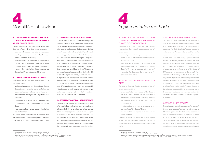

## *4 Implementation methods*

## 4.1 COMPITI DEL COMITATO CONTROL-LO E RISCHI IN MATERIA DI ATTUAZIO-NE DEL CODICE ETICO

In materia di Codice Etico competono al Comitato Controllo e Rischi di Enel SpA i seguenti compiti:

- esaminare le relazioni periodiche predisposte dal Responsabile dalla Funzione Audit concernenti le violazioni del Codice;
- esaminare eventuali modifiche o integrazioni al Codice Etico da sottoporre, previo esame anche da parte del Comitato per la Corporate Governance e la Sostenibilità, all'approvazione del Consiglio di Amministrazione di Enel SpA.

#### 4.2 COMPITI DELLA FUNZIONE AUDIT

Al responsabile della Funzione Audit sono attribuiti i seguenti compiti:

- verificare l'applicazione e il rispetto del Codice Etico attraverso un'analisi e una valutazione del sistema di controllo interno a presidio dei processi aziendali con significativi impatti sull'etica aziendale;
- monitorare le iniziative per la diffusione della conoscenza e della comprensione del Codice Etico;
- ricevere e analizzare le segnalazioni di violazione del Codice Etico.

Tali attività sono effettuate con il supporto delle Funzioni aziendali interessate, disponendo del libero accesso a tutta la documentazione ritenuta utile.

#### 4.3 COMUNICAZIONE E FORMAZIONE

Il Codice Etico è portato a conoscenza degli stakeholder interni ed esterni mediante apposite attività di comunicazione (per esempio, la consegna a tutte le persone di copia del Codice, sezioni dedicate nell'intranet aziendale e sul sito internet, inserimento di apposite clausole etiche in tutti i contratti ecc.). Alle Funzioni Innovability, Legale Compliance e Persone e Organizzazione è attribuito il compito di promuovere il miglioramento continuo dell'etica e le iniziative per la diffusione della conoscenza e della comprensione del Codice Etico. Allo scopo di assicurare la corretta comprensione del Codice Etico per tutte le persone di Enel, la Funzione Persone e Organizzazione predispone e realizza un piano di formazione volto a favorire la conoscenza dei princípi e delle norme etiche. Le iniziative di formazione sono differenziate secondo il ruolo e la responsabilità delle persone; per i neoassunti è previsto un apposito programma formativo che illustra i contenuti del Codice di cui è richiesta l'osservanza.

#### 4.4 SEGNALAZIONI DEGLI STAKEHOLDER

Enel provvede a stabilire per ogni stakeholder specifici canali di comunicazione cui rivolgere le proprie segnalazioni. In alternativa, tutti gli stakeholder di Enel possono segnalare ogni violazione o sospetto di violazione del Codice Etico<sup>5</sup> alla Funzione Audit che provvede a un'analisi della segnalazione, ascoltando eventualmente l'autore e il responsabile della presunta violazione. Enel agisce in modo da garantire i segnalanti contro qualsiasi tipo di ritorsione

## *4.1 TASKS OF THE CONTROL AND RISKS COMMITTEE REGARDING IMPLEMENTA-TION OF THE CODE OF ETHICS*

*In relation to the Code of Ethics the Enel SpA Control and Risks Committee is responsible for the following tasks:*

- *examining the periodic reports prepared by the Head of the Audit Function concerning violations of the Code;*
- *• examining any amendments or additions to the Code of Ethics to be submitted to the Enel SpA Board of Directors for approval following examination by the Corporate Governance and Sustainability Committee.*

## *4.2 RESPONSIBILITIES OF THE AUDIT FUN-CTION*

*The head of the Audit Function is assigned the following responsibilities:*

- *• check application and respect of the Code of Ethics by means of analysis and evaluation of the internal control system monitoring corporate processes having significant impacts on corporate ethics;*
- *• monitor initiatives to raise awareness and understanding of the Code of Ethics;*
- *• receive and analyze reports of violations of the Code of Ethics.*

*These activities shall be performed with the support of the company functions concerned, with unrestricted access to all documentation deemed to be useful.*

#### *4.3 COMMUNICATIONS AND TRAINING*

*The Code of Ethics is brought to the attention of internal and external stakeholders through specific communication activities (e.g. consignment of a copy of the Code to all Enel people, dedicated sections of the Company Intranet and its website, inclusion of specific ethical clauses in all contracts, and so forth). The Innovability, Legal Compliance, and People and Organization Functions are assigned with the task of promoting ongoing improvement of ethics and initiatives for the dissemination of awareness and understanding of the Code of Ethics.In order to ensure that all Enel people have a correct understanding of the Code of Ethics, the People and Organization Function prepares and implements a training plan aimed at promoting knowledge of the principles and ethical standards. Training initiatives are differentiated in accordance with the roles and responsibilities of people; new recruits undergo a dedicated training program that illustrates the contents of the Code they are expected to observe.*

#### *4.4 STAKEHOLDER REPORTS*

*Enel establishes specific communication channels through which each stakeholder can submit reports. Alternatively, any Enel stakeholder may report violations or suspected violations of the Code of Ethics5 to the Audit Function, which analyzes the report, contacting the author if necessary, and the person responsible for the alleged violation.Enel takes steps to ensure that whistleblowers are not subject* 

<sup>5</sup> Le segnalazioni possono essere inviate con le seguenti modalità • tramite web o numero verde come indicato alla pagina web del Codice Etico Enel (www.enel.com/it/investitori/sostenibilita/temi-performance-sostenibilita/principi-base/codice-etico). • lettera all'indirizzo: Enel SpA - Funzione Audit - Codice Etico. Via Dalmazia, 15 - 00198 Roma

<sup>5</sup> Reports can be sent with the following methods • via the Web or toll-free number shown on the Enel Code of Ethics web page

<sup>(</sup>www.enel.com/investors/sustainability/sustainability-topics-and-performances/principles-underpinning-our-work/code-ethics). • by sending a letter to: Enel SpA - Audit Function - Code of Ethics. Via Dalmazia, 15 - 00198 Rome, ITALY.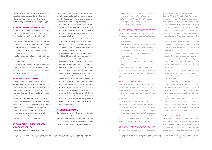intesa come atto che possa dar adito anche al solo sospetto di essere una forma di discriminazione o penalizzazione. È inoltre assicurata la riservatezza dell'identità del segnalante, fatti salvi gli obblighi di legge.

#### 4.5 VIOLAZIONI DEL CODICE ETICO

La Funzione Audit riporta le violazioni del Codice Etico emerse in conseguenza delle segnalazioni degli stakeholder o dell'attività di auditing e le relative proposte di azioni correttive:

- al Comitato Controllo e Rischi, al Presidente del Consiglio di Amministrazione e all'Amministratore Delegato di Enel SpA, i quali valutano l'opportunità di comunicare al Consiglio di Amministrazione i casi più significativi;
- agli organismi societari delle società controllate direttamente ed indirettamente per le tematiche di competenza.

I provvedimenti conseguenti all'accertamento delle violazioni sono definiti dalle strutture aziendali competenti secondo quanto disposto dalle norme nazionali applicabili.

#### 4.6 BILANCIO DI SOSTENIBILITÀ

Enel S.p.A, e le Società del Gruppo vincolate da prescrizioni normative, si impegnano a predisporre annualmente un Bilancio di Sostenibilità conforme ai migliori standard nazionali e internazionali, che esamina le tre dimensioni di responsabilità economica, sociale e ambientale.

Il Bilancio di Sostenibilità offre un rendiconto chiaro, veritiero e corretto dei risultati ottenuti in tutte le aree di rapporto con gli stakeholder in relazione ai princípi e agli impegni assunti nel Codice Etico, nonché agli obiettivi di miglioramento stabiliti periodicamente, presentando, in caso di eventi straordinari o eccezionali (cambiamento di perimetro o nuove acquisizioni), dei focus dedicati.

## 4.7 COMPITI DELL'UNITÀ PREPOSTA ALLA SOSTENIBILITÀ

In materia di responsabilità ESG (ambientale, socia-

le e di governance) ispirata al Codice Etico e definita come l'impegno dell'azienda a perseguire un modello di sviluppo sostenibile, all'unità preposta alla Sostenibilità competono i seguenti compiti:

- garantire la diffusione della sostenibilità valorizzando l'impegno dell'Azienda per lo sviluppo economico sostenibile, in particolare cooperando con le competenti Funzioni aziendali per la sua promozione in Enel;
- relazionarsi con tutti gli analisti di sostenibilità e le agenzie di rating al fine di promuovere le best practice di Enel di natura sostenibile, aumentando così l'interesse degli investitori socialmente responsabili verso Enel;
- predisporre il Piano di Sostenibilità e il Bilancio di Sostenibilità e i relativi rapporti periodici;
- coinvolgere gli stakeholder ai fini della predisposizione della matrice di materialità<sup>6</sup> dell'individuazione degli obiettivi di sostenibilità e della predisposizione del Bilancio di Sostenibilità;
- sottoporre il Bilancio di Sostenibilità alla valutazione del Comitato Controllo e Rischi e del Comitato Corporate Governance e Sostenibilità;
- cooperare con le diverse Funzioni aziendali di Enel all'individuazione degli obiettivi di responsabilità sociale e allo sviluppo dei progetti che ne conseguono, e collaborare alla formulazione del piano industriale per gli aspetti di sostenibilità;
- proporre al Comitato Controllo e Rischi e al Comitato Corporate Governance e Sostenibilità le modifiche e le integrazioni da apportare al Codice Etico, di concerto con le Funzioni aziendali interessate.

#### 4.8 VERIFICA ESTERNA

Enel sottopone il proprio Bilancio di Sostenibilità alla verifica esterna da parte di una Società indipendente accreditata. Inoltre, partecipa alle attività nazionali e internazionali per la messa a punto di standard e criteri in materia di responsabilità sociale.

*to any acts of retaliation, meaning actions that may give rise even to the suspicion of discrimination or penalization. In addition, confidentiality is guaranteed with regard to the identity of whistleblowers, without prejudice to legal obligations.*

#### *4.5 VIOLATIONS OF THE CODE OF ETHICS*

*The Audit Function reports violations of the Code of Ethics that emerge following reports of stakeholders or the auditing activity and the related proposals for corrective actions:*

- *to the Control and Risks Committee, the Chair of the Board of Directors and the Chief Executive Officer of Enel SpA, who evaluate the need to inform the Board of Directors of the most significant cases;*
- *to the corporate bodies of directly or indirectly controlled subsidiaries for the issues of competence.*

*Provisions consequent to verification of violations are defined by the competent corporate structures in accordance with the matters provided for by the applicable national legislation.*

#### *4.6 SUSTAINABILITY REPORT*

*Enel SpA, and the Group companies bound by legal prescriptions, undertake to prepare an annual Sustainability Report in compliance with the best national and international standards, illustrating the areas of economic, social, and environmental responsibility.*

*The Sustainability Report provides a clear, truthful and fair account of the results achieved in all areas of relations with stakeholders according to the principles and commitments assumed in the Code of Ethics, together with the periodically established goals for improvement, and provides specific focus reports when extraordinary or exceptional events occur (change of scope or new acquisitions).*

#### *4.7 DUTIES OF THE SUSTAINABILITY UNIT*

*As regards ESG responsibility (environmental, social* 

*and governance), which draws inspiration from the Code of Ethics and is defined as the company's commitment to pursuing a sustainable development model, the Sustainability unit is responsible for:*

- *• ensuring the dissemination of a culture of sustainability, leveraging the Company's commitment to sustainable economic development, especially through cooperation with the competent corporate functions for its promotion in Enel;*
- *• maintaining communications channels with sustainability analysts and rating agencies in order to promote best sustainability practices in Enel, thus increasing the interests of socially responsible investors in Enel;*
- *• drafting the Sustainability Plan and the Sustainability Report and related periodic reports;*
- *engaging stakeholders with the aim of preparing the materiality matrix6, in identifying sustainability objectives and in drawing up the Sustainability Report;*
- *• submitting the Sustainability Report to the assessment of the Control and Risks Committee and the Corporate Governance and Sustainability Committee;*
- *cooperating with the various Enel corporate functions in identifying social responsibility objectives and the development of the resulting projects, as well as cooperating in the development of the business plan on the aspects regarding sustainability;*
- *proposing the amendments and additions to be made to the Code of Ethics to the Control and Risk Committee and to the Corporate Governance and Sustainability Committee, in concert with the interested Company Functions.*

#### *4.8 EXTERNAL AUDIT*

*Enel subjects its Sustainability Report to an external audit conducted by an independent accredited firm. In addition, it takes part in the national and international activities for the formulation of standards and criteria in relation to social responsibility.* 

<sup>6</sup> La matrice di materialità (o matrice delle priorità) permette di identificare e valutare i temi prioritari per gli stakeholder ponderati sulla base della loro rilevanza, confrontandoli con le priorità del Gruppo e con la strategia industriale considerando gli impatti generati e subiti.

<sup>6</sup> The materiality matrix (or priorities matrix) makes it possible to identify and evaluate the material topics for stakeholders, weighted in accor dance with their relevance, correlating them with the Group priorities and with the industrial strategy, considering the impacts generated and suffered.